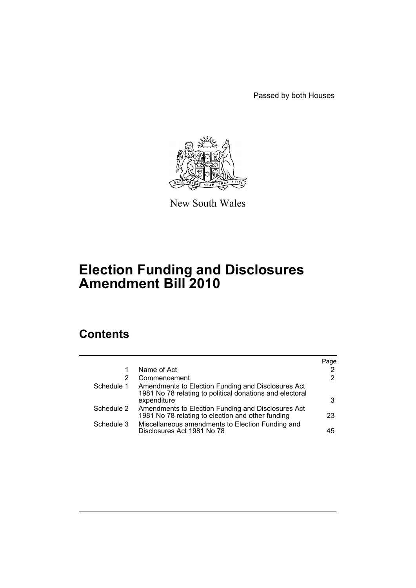Passed by both Houses



New South Wales

# **Election Funding and Disclosures Amendment Bill 2010**

# **Contents**

|            |                                                                                                                               | Page |
|------------|-------------------------------------------------------------------------------------------------------------------------------|------|
|            | Name of Act                                                                                                                   | 2    |
| 2          | Commencement                                                                                                                  | 2    |
| Schedule 1 | Amendments to Election Funding and Disclosures Act<br>1981 No 78 relating to political donations and electoral<br>expenditure | 3    |
| Schedule 2 | Amendments to Election Funding and Disclosures Act<br>1981 No 78 relating to election and other funding                       | 23   |
| Schedule 3 | Miscellaneous amendments to Election Funding and<br>Disclosures Act 1981 No 78                                                | 45   |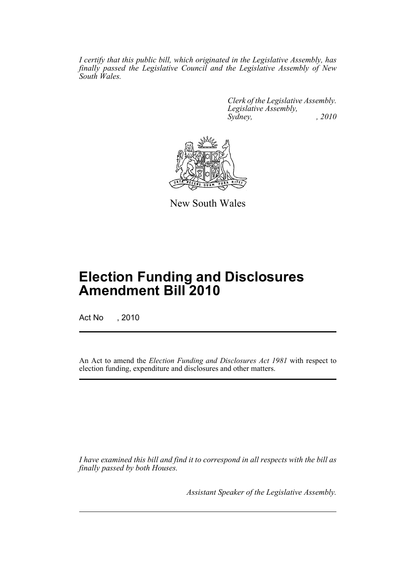*I certify that this public bill, which originated in the Legislative Assembly, has finally passed the Legislative Council and the Legislative Assembly of New South Wales.*

> *Clerk of the Legislative Assembly. Legislative Assembly, Sydney, , 2010*



New South Wales

# **Election Funding and Disclosures Amendment Bill 2010**

Act No , 2010

An Act to amend the *Election Funding and Disclosures Act 1981* with respect to election funding, expenditure and disclosures and other matters.

*I have examined this bill and find it to correspond in all respects with the bill as finally passed by both Houses.*

*Assistant Speaker of the Legislative Assembly.*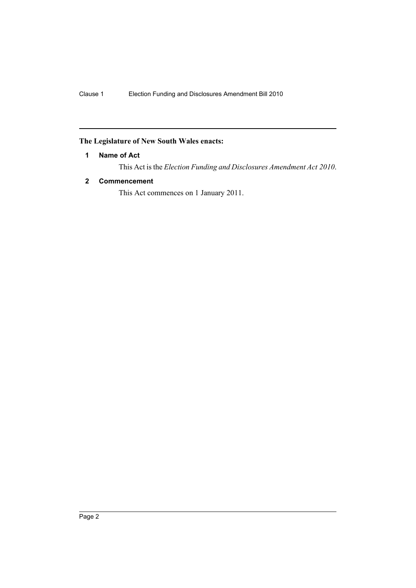## <span id="page-3-0"></span>**The Legislature of New South Wales enacts:**

## **1 Name of Act**

This Act is the *Election Funding and Disclosures Amendment Act 2010*.

## <span id="page-3-1"></span>**2 Commencement**

This Act commences on 1 January 2011.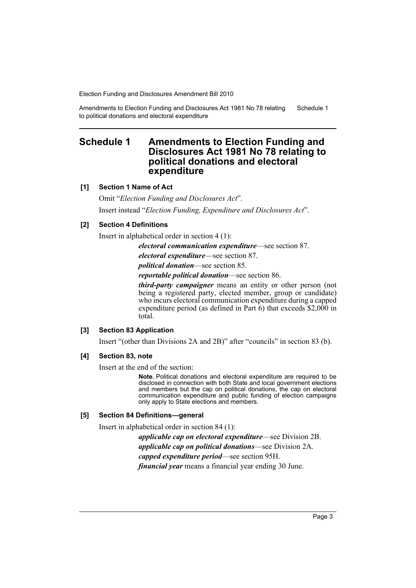Amendments to Election Funding and Disclosures Act 1981 No 78 relating to political donations and electoral expenditure Schedule 1

## <span id="page-4-0"></span>**Schedule 1 Amendments to Election Funding and Disclosures Act 1981 No 78 relating to political donations and electoral expenditure**

## **[1] Section 1 Name of Act**

Omit "*Election Funding and Disclosures Act*".

Insert instead "*Election Funding, Expenditure and Disclosures Act*".

## **[2] Section 4 Definitions**

Insert in alphabetical order in section 4 (1):

*electoral communication expenditure*—see section 87.

*electoral expenditure*—see section 87.

*political donation*—see section 85.

*reportable political donation*—see section 86.

*third-party campaigner* means an entity or other person (not being a registered party, elected member, group or candidate) who incurs electoral communication expenditure during a capped expenditure period (as defined in Part 6) that exceeds \$2,000 in total.

## **[3] Section 83 Application**

Insert "(other than Divisions 2A and 2B)" after "councils" in section 83 (b).

#### **[4] Section 83, note**

Insert at the end of the section:

**Note.** Political donations and electoral expenditure are required to be disclosed in connection with both State and local government elections and members but the cap on political donations, the cap on electoral communication expenditure and public funding of election campaigns only apply to State elections and members.

### **[5] Section 84 Definitions—general**

Insert in alphabetical order in section 84 (1):

*applicable cap on electoral expenditure*—see Division 2B. *applicable cap on political donations*—see Division 2A. *capped expenditure period*—see section 95H. *financial year* means a financial year ending 30 June.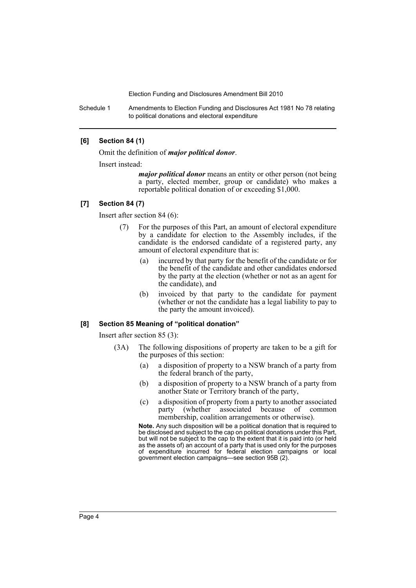Schedule 1 Amendments to Election Funding and Disclosures Act 1981 No 78 relating to political donations and electoral expenditure

## **[6] Section 84 (1)**

Omit the definition of *major political donor*.

Insert instead:

*major political donor* means an entity or other person (not being a party, elected member, group or candidate) who makes a reportable political donation of or exceeding \$1,000.

#### **[7] Section 84 (7)**

Insert after section 84 (6):

- (7) For the purposes of this Part, an amount of electoral expenditure by a candidate for election to the Assembly includes, if the candidate is the endorsed candidate of a registered party, any amount of electoral expenditure that is:
	- (a) incurred by that party for the benefit of the candidate or for the benefit of the candidate and other candidates endorsed by the party at the election (whether or not as an agent for the candidate), and
	- (b) invoiced by that party to the candidate for payment (whether or not the candidate has a legal liability to pay to the party the amount invoiced).

#### **[8] Section 85 Meaning of "political donation"**

Insert after section 85 (3):

- (3A) The following dispositions of property are taken to be a gift for the purposes of this section:
	- (a) a disposition of property to a NSW branch of a party from the federal branch of the party,
	- (b) a disposition of property to a NSW branch of a party from another State or Territory branch of the party,
	- (c) a disposition of property from a party to another associated party (whether associated because of common membership, coalition arrangements or otherwise).

**Note.** Any such disposition will be a political donation that is required to be disclosed and subject to the cap on political donations under this Part, but will not be subject to the cap to the extent that it is paid into (or held as the assets of) an account of a party that is used only for the purposes of expenditure incurred for federal election campaigns or local government election campaigns—see section 95B (2).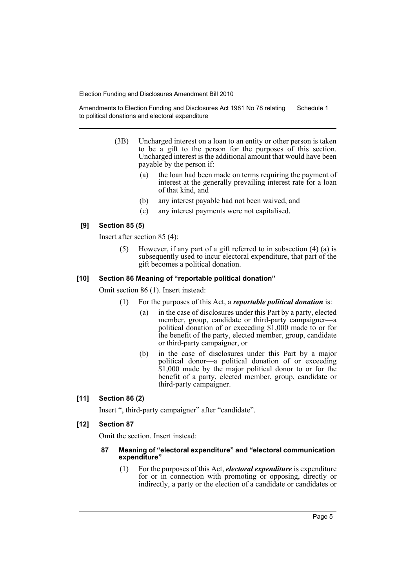Amendments to Election Funding and Disclosures Act 1981 No 78 relating to political donations and electoral expenditure Schedule 1

- (3B) Uncharged interest on a loan to an entity or other person is taken to be a gift to the person for the purposes of this section. Uncharged interest is the additional amount that would have been payable by the person if:
	- (a) the loan had been made on terms requiring the payment of interest at the generally prevailing interest rate for a loan of that kind, and
	- (b) any interest payable had not been waived, and
	- (c) any interest payments were not capitalised.

## **[9] Section 85 (5)**

Insert after section 85 (4):

(5) However, if any part of a gift referred to in subsection (4) (a) is subsequently used to incur electoral expenditure, that part of the gift becomes a political donation.

#### **[10] Section 86 Meaning of "reportable political donation"**

Omit section 86 (1). Insert instead:

- (1) For the purposes of this Act, a *reportable political donation* is:
	- (a) in the case of disclosures under this Part by a party, elected member, group, candidate or third-party campaigner—a political donation of or exceeding \$1,000 made to or for the benefit of the party, elected member, group, candidate or third-party campaigner, or
	- (b) in the case of disclosures under this Part by a major political donor—a political donation of or exceeding \$1,000 made by the major political donor to or for the benefit of a party, elected member, group, candidate or third-party campaigner.

## **[11] Section 86 (2)**

Insert ", third-party campaigner" after "candidate".

## **[12] Section 87**

Omit the section. Insert instead:

#### **87 Meaning of "electoral expenditure" and "electoral communication expenditure"**

(1) For the purposes of this Act, *electoral expenditure* is expenditure for or in connection with promoting or opposing, directly or indirectly, a party or the election of a candidate or candidates or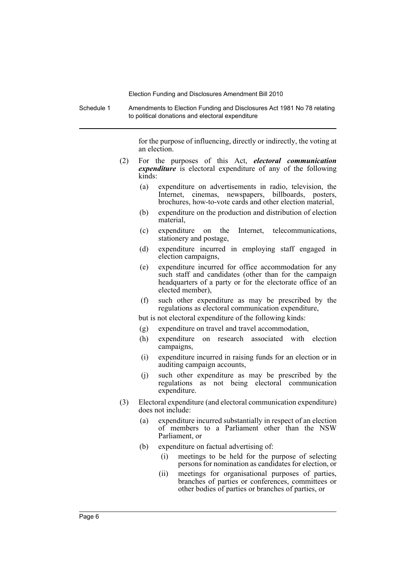Schedule 1 Amendments to Election Funding and Disclosures Act 1981 No 78 relating to political donations and electoral expenditure

> for the purpose of influencing, directly or indirectly, the voting at an election.

- (2) For the purposes of this Act, *electoral communication expenditure* is electoral expenditure of any of the following kinds:
	- (a) expenditure on advertisements in radio, television, the Internet, cinemas, newspapers, billboards, posters, brochures, how-to-vote cards and other election material,
	- (b) expenditure on the production and distribution of election material,
	- (c) expenditure on the Internet, telecommunications, stationery and postage,
	- (d) expenditure incurred in employing staff engaged in election campaigns,
	- (e) expenditure incurred for office accommodation for any such staff and candidates (other than for the campaign headquarters of a party or for the electorate office of an elected member),
	- (f) such other expenditure as may be prescribed by the regulations as electoral communication expenditure,

but is not electoral expenditure of the following kinds:

- (g) expenditure on travel and travel accommodation,
- (h) expenditure on research associated with election campaigns,
- (i) expenditure incurred in raising funds for an election or in auditing campaign accounts,
- (j) such other expenditure as may be prescribed by the regulations as not being electoral communication expenditure.
- (3) Electoral expenditure (and electoral communication expenditure) does not include:
	- (a) expenditure incurred substantially in respect of an election of members to a Parliament other than the NSW Parliament, or
	- (b) expenditure on factual advertising of:
		- (i) meetings to be held for the purpose of selecting persons for nomination as candidates for election, or
		- (ii) meetings for organisational purposes of parties, branches of parties or conferences, committees or other bodies of parties or branches of parties, or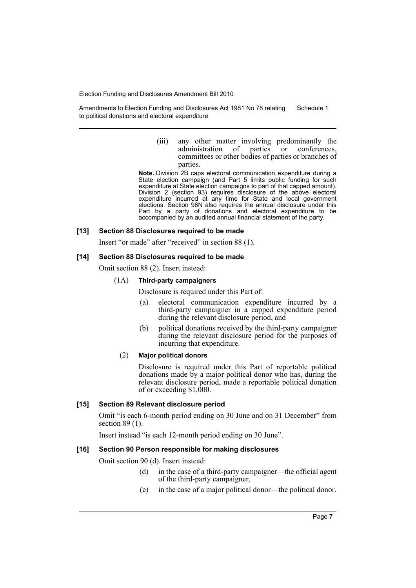Amendments to Election Funding and Disclosures Act 1981 No 78 relating to political donations and electoral expenditure Schedule 1

> (iii) any other matter involving predominantly the administration of parties or conferences, administration of parties or committees or other bodies of parties or branches of parties.

**Note.** Division 2B caps electoral communication expenditure during a State election campaign (and Part 5 limits public funding for such expenditure at State election campaigns to part of that capped amount). Division 2 (section 93) requires disclosure of the above electoral expenditure incurred at any time for State and local government elections. Section 96N also requires the annual disclosure under this Part by a party of donations and electoral expenditure to be accompanied by an audited annual financial statement of the party.

#### **[13] Section 88 Disclosures required to be made**

Insert "or made" after "received" in section 88 (1).

#### **[14] Section 88 Disclosures required to be made**

Omit section 88 (2). Insert instead:

#### (1A) **Third-party campaigners**

Disclosure is required under this Part of:

- (a) electoral communication expenditure incurred by a third-party campaigner in a capped expenditure period during the relevant disclosure period, and
- (b) political donations received by the third-party campaigner during the relevant disclosure period for the purposes of incurring that expenditure.

#### (2) **Major political donors**

Disclosure is required under this Part of reportable political donations made by a major political donor who has, during the relevant disclosure period, made a reportable political donation of or exceeding \$1,000.

#### **[15] Section 89 Relevant disclosure period**

Omit "is each 6-month period ending on 30 June and on 31 December" from section 89 (1).

Insert instead "is each 12-month period ending on 30 June".

## **[16] Section 90 Person responsible for making disclosures**

Omit section 90 (d). Insert instead:

- (d) in the case of a third-party campaigner—the official agent of the third-party campaigner,
- (e) in the case of a major political donor—the political donor.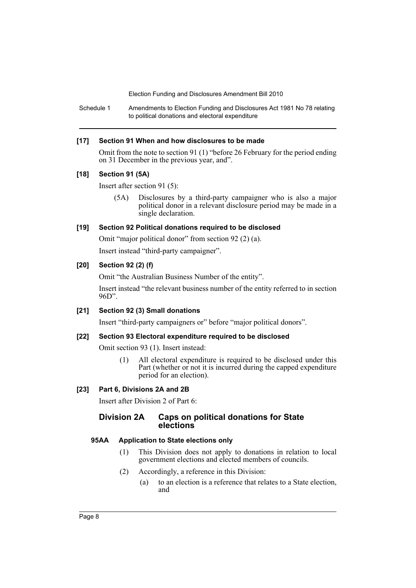Schedule 1 Amendments to Election Funding and Disclosures Act 1981 No 78 relating to political donations and electoral expenditure

## **[17] Section 91 When and how disclosures to be made**

Omit from the note to section 91 (1) "before 26 February for the period ending on 31 December in the previous year, and".

#### **[18] Section 91 (5A)**

Insert after section 91 (5):

(5A) Disclosures by a third-party campaigner who is also a major political donor in a relevant disclosure period may be made in a single declaration.

## **[19] Section 92 Political donations required to be disclosed**

Omit "major political donor" from section 92 (2) (a).

Insert instead "third-party campaigner".

## **[20] Section 92 (2) (f)**

Omit "the Australian Business Number of the entity".

Insert instead "the relevant business number of the entity referred to in section 96D".

## **[21] Section 92 (3) Small donations**

Insert "third-party campaigners or" before "major political donors".

## **[22] Section 93 Electoral expenditure required to be disclosed**

Omit section 93 (1). Insert instead:

(1) All electoral expenditure is required to be disclosed under this Part (whether or not it is incurred during the capped expenditure period for an election).

## **[23] Part 6, Divisions 2A and 2B**

Insert after Division 2 of Part 6:

## **Division 2A Caps on political donations for State elections**

## **95AA Application to State elections only**

- (1) This Division does not apply to donations in relation to local government elections and elected members of councils.
- (2) Accordingly, a reference in this Division:
	- (a) to an election is a reference that relates to a State election, and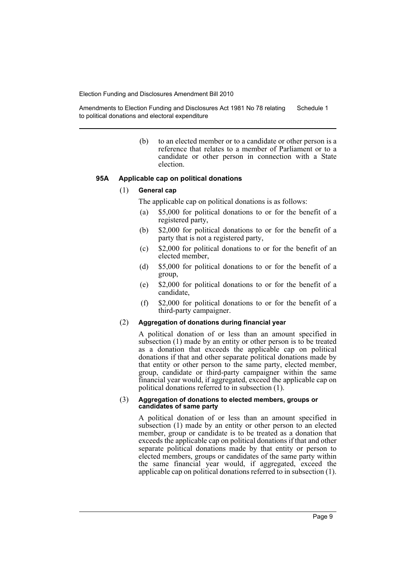Amendments to Election Funding and Disclosures Act 1981 No 78 relating to political donations and electoral expenditure Schedule 1

> (b) to an elected member or to a candidate or other person is a reference that relates to a member of Parliament or to a candidate or other person in connection with a State election.

#### **95A Applicable cap on political donations**

#### (1) **General cap**

The applicable cap on political donations is as follows:

- (a) \$5,000 for political donations to or for the benefit of a registered party,
- (b) \$2,000 for political donations to or for the benefit of a party that is not a registered party,
- (c) \$2,000 for political donations to or for the benefit of an elected member,
- (d) \$5,000 for political donations to or for the benefit of a group,
- (e) \$2,000 for political donations to or for the benefit of a candidate,
- (f) \$2,000 for political donations to or for the benefit of a third-party campaigner.

#### (2) **Aggregation of donations during financial year**

A political donation of or less than an amount specified in subsection (1) made by an entity or other person is to be treated as a donation that exceeds the applicable cap on political donations if that and other separate political donations made by that entity or other person to the same party, elected member, group, candidate or third-party campaigner within the same financial year would, if aggregated, exceed the applicable cap on political donations referred to in subsection (1).

#### (3) **Aggregation of donations to elected members, groups or candidates of same party**

A political donation of or less than an amount specified in subsection (1) made by an entity or other person to an elected member, group or candidate is to be treated as a donation that exceeds the applicable cap on political donations if that and other separate political donations made by that entity or person to elected members, groups or candidates of the same party within the same financial year would, if aggregated, exceed the applicable cap on political donations referred to in subsection (1).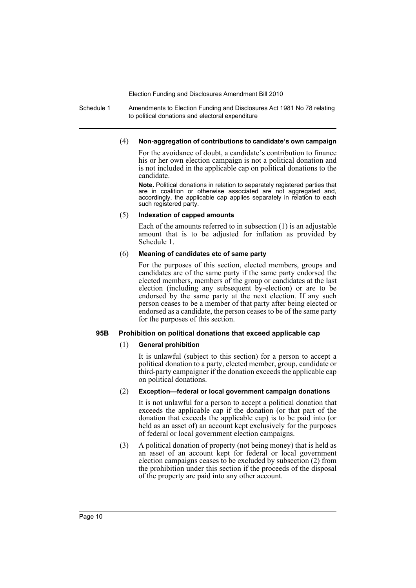Schedule 1 Amendments to Election Funding and Disclosures Act 1981 No 78 relating to political donations and electoral expenditure

## (4) **Non-aggregation of contributions to candidate's own campaign**

For the avoidance of doubt, a candidate's contribution to finance his or her own election campaign is not a political donation and is not included in the applicable cap on political donations to the candidate.

**Note.** Political donations in relation to separately registered parties that are in coalition or otherwise associated are not aggregated and, accordingly, the applicable cap applies separately in relation to each such registered party.

#### (5) **Indexation of capped amounts**

Each of the amounts referred to in subsection (1) is an adjustable amount that is to be adjusted for inflation as provided by Schedule 1.

## (6) **Meaning of candidates etc of same party**

For the purposes of this section, elected members, groups and candidates are of the same party if the same party endorsed the elected members, members of the group or candidates at the last election (including any subsequent by-election) or are to be endorsed by the same party at the next election. If any such person ceases to be a member of that party after being elected or endorsed as a candidate, the person ceases to be of the same party for the purposes of this section.

## **95B Prohibition on political donations that exceed applicable cap**

## (1) **General prohibition**

It is unlawful (subject to this section) for a person to accept a political donation to a party, elected member, group, candidate or third-party campaigner if the donation exceeds the applicable cap on political donations.

## (2) **Exception—federal or local government campaign donations**

It is not unlawful for a person to accept a political donation that exceeds the applicable cap if the donation (or that part of the donation that exceeds the applicable cap) is to be paid into (or held as an asset of) an account kept exclusively for the purposes of federal or local government election campaigns.

(3) A political donation of property (not being money) that is held as an asset of an account kept for federal or local government election campaigns ceases to be excluded by subsection (2) from the prohibition under this section if the proceeds of the disposal of the property are paid into any other account.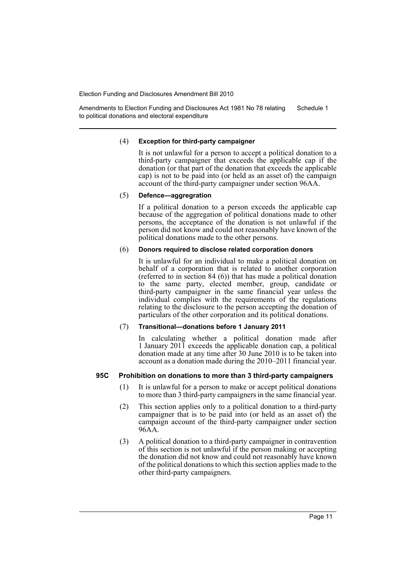Amendments to Election Funding and Disclosures Act 1981 No 78 relating to political donations and electoral expenditure Schedule 1

#### (4) **Exception for third-party campaigner**

It is not unlawful for a person to accept a political donation to a third-party campaigner that exceeds the applicable cap if the donation (or that part of the donation that exceeds the applicable cap) is not to be paid into (or held as an asset of) the campaign account of the third-party campaigner under section 96AA.

#### (5) **Defence—aggregration**

If a political donation to a person exceeds the applicable cap because of the aggregation of political donations made to other persons, the acceptance of the donation is not unlawful if the person did not know and could not reasonably have known of the political donations made to the other persons.

## (6) **Donors required to disclose related corporation donors**

It is unlawful for an individual to make a political donation on behalf of a corporation that is related to another corporation (referred to in section 84 (6)) that has made a political donation to the same party, elected member, group, candidate or third-party campaigner in the same financial year unless the individual complies with the requirements of the regulations relating to the disclosure to the person accepting the donation of particulars of the other corporation and its political donations.

#### (7) **Transitional—donations before 1 January 2011**

In calculating whether a political donation made after 1 January 2011 exceeds the applicable donation cap, a political donation made at any time after 30 June 2010 is to be taken into account as a donation made during the 2010–2011 financial year.

#### **95C Prohibition on donations to more than 3 third-party campaigners**

- (1) It is unlawful for a person to make or accept political donations to more than 3 third-party campaigners in the same financial year.
- (2) This section applies only to a political donation to a third-party campaigner that is to be paid into (or held as an asset of) the campaign account of the third-party campaigner under section 96AA.
- (3) A political donation to a third-party campaigner in contravention of this section is not unlawful if the person making or accepting the donation did not know and could not reasonably have known of the political donations to which this section applies made to the other third-party campaigners.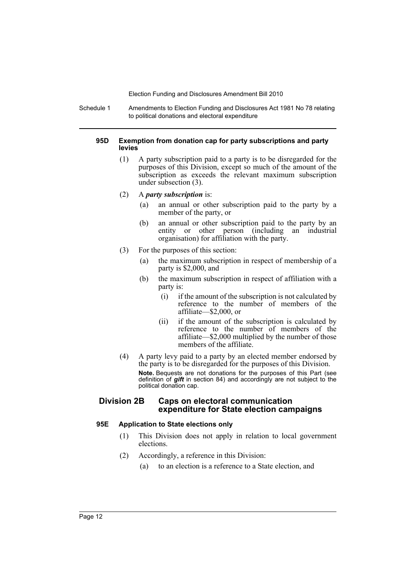Schedule 1 Amendments to Election Funding and Disclosures Act 1981 No 78 relating to political donations and electoral expenditure

#### **95D Exemption from donation cap for party subscriptions and party levies**

- (1) A party subscription paid to a party is to be disregarded for the purposes of this Division, except so much of the amount of the subscription as exceeds the relevant maximum subscription under subsection (3).
- (2) A *party subscription* is:
	- (a) an annual or other subscription paid to the party by a member of the party, or
	- (b) an annual or other subscription paid to the party by an entity or other person (including an industrial organisation) for affiliation with the party.
- (3) For the purposes of this section:
	- (a) the maximum subscription in respect of membership of a party is \$2,000, and
	- (b) the maximum subscription in respect of affiliation with a party is:
		- (i) if the amount of the subscription is not calculated by reference to the number of members of the affiliate—\$2,000, or
		- (ii) if the amount of the subscription is calculated by reference to the number of members of the affiliate—\$2,000 multiplied by the number of those members of the affiliate.
- (4) A party levy paid to a party by an elected member endorsed by the party is to be disregarded for the purposes of this Division. **Note.** Bequests are not donations for the purposes of this Part (see definition of *gift* in section 84) and accordingly are not subject to the political donation cap.

## **Division 2B Caps on electoral communication expenditure for State election campaigns**

## **95E Application to State elections only**

- (1) This Division does not apply in relation to local government elections.
- (2) Accordingly, a reference in this Division:
	- (a) to an election is a reference to a State election, and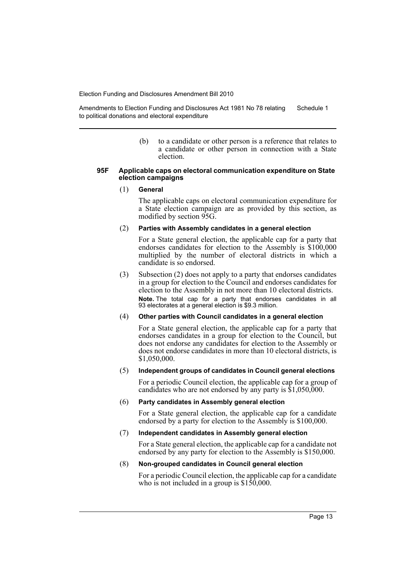Amendments to Election Funding and Disclosures Act 1981 No 78 relating to political donations and electoral expenditure Schedule 1

> (b) to a candidate or other person is a reference that relates to a candidate or other person in connection with a State election.

#### **95F Applicable caps on electoral communication expenditure on State election campaigns**

#### (1) **General**

The applicable caps on electoral communication expenditure for a State election campaign are as provided by this section, as modified by section 95G.

## (2) **Parties with Assembly candidates in a general election**

For a State general election, the applicable cap for a party that endorses candidates for election to the Assembly is \$100,000 multiplied by the number of electoral districts in which a candidate is so endorsed.

(3) Subsection (2) does not apply to a party that endorses candidates in a group for election to the Council and endorses candidates for election to the Assembly in not more than 10 electoral districts. **Note.** The total cap for a party that endorses candidates in all 93 electorates at a general election is \$9.3 million.

#### (4) **Other parties with Council candidates in a general election**

For a State general election, the applicable cap for a party that endorses candidates in a group for election to the Council, but does not endorse any candidates for election to the Assembly or does not endorse candidates in more than 10 electoral districts, is \$1,050,000.

### (5) **Independent groups of candidates in Council general elections**

For a periodic Council election, the applicable cap for a group of candidates who are not endorsed by any party is \$1,050,000.

#### (6) **Party candidates in Assembly general election**

For a State general election, the applicable cap for a candidate endorsed by a party for election to the Assembly is \$100,000.

#### (7) **Independent candidates in Assembly general election**

For a State general election, the applicable cap for a candidate not endorsed by any party for election to the Assembly is \$150,000.

## (8) **Non-grouped candidates in Council general election**

For a periodic Council election, the applicable cap for a candidate who is not included in a group is  $$1\overline{50,000}$ .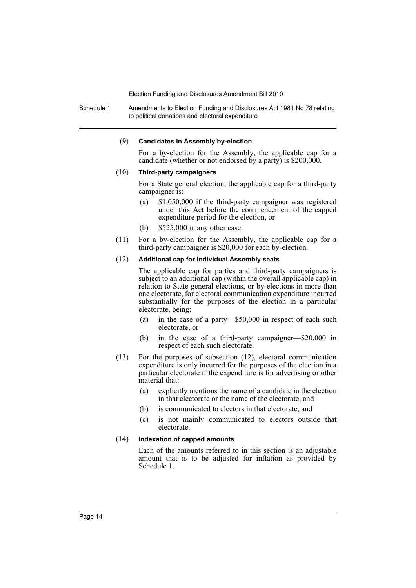Schedule 1 Amendments to Election Funding and Disclosures Act 1981 No 78 relating to political donations and electoral expenditure

#### (9) **Candidates in Assembly by-election**

For a by-election for the Assembly, the applicable cap for a candidate (whether or not endorsed by a party) is \$200,000.

#### (10) **Third-party campaigners**

For a State general election, the applicable cap for a third-party campaigner is:

- (a) \$1,050,000 if the third-party campaigner was registered under this Act before the commencement of the capped expenditure period for the election, or
- (b) \$525,000 in any other case.
- (11) For a by-election for the Assembly, the applicable cap for a third-party campaigner is \$20,000 for each by-election.

## (12) **Additional cap for individual Assembly seats**

The applicable cap for parties and third-party campaigners is subject to an additional cap (within the overall applicable cap) in relation to State general elections, or by-elections in more than one electorate, for electoral communication expenditure incurred substantially for the purposes of the election in a particular electorate, being:

- (a) in the case of a party—\$50,000 in respect of each such electorate, or
- (b) in the case of a third-party campaigner—\$20,000 in respect of each such electorate.
- (13) For the purposes of subsection (12), electoral communication expenditure is only incurred for the purposes of the election in a particular electorate if the expenditure is for advertising or other material that:
	- (a) explicitly mentions the name of a candidate in the election in that electorate or the name of the electorate, and
	- (b) is communicated to electors in that electorate, and
	- (c) is not mainly communicated to electors outside that electorate.

## (14) **Indexation of capped amounts**

Each of the amounts referred to in this section is an adjustable amount that is to be adjusted for inflation as provided by Schedule 1.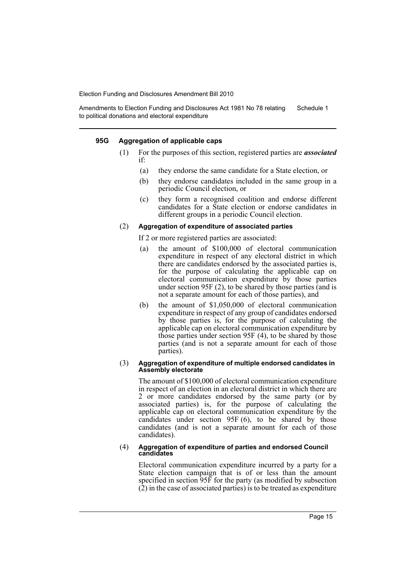Amendments to Election Funding and Disclosures Act 1981 No 78 relating to political donations and electoral expenditure Schedule 1

#### **95G Aggregation of applicable caps**

- (1) For the purposes of this section, registered parties are *associated* if:
	- (a) they endorse the same candidate for a State election, or
	- (b) they endorse candidates included in the same group in a periodic Council election, or
	- (c) they form a recognised coalition and endorse different candidates for a State election or endorse candidates in different groups in a periodic Council election.

#### (2) **Aggregation of expenditure of associated parties**

If 2 or more registered parties are associated:

- (a) the amount of \$100,000 of electoral communication expenditure in respect of any electoral district in which there are candidates endorsed by the associated parties is, for the purpose of calculating the applicable cap on electoral communication expenditure by those parties under section 95F (2), to be shared by those parties (and is not a separate amount for each of those parties), and
- (b) the amount of \$1,050,000 of electoral communication expenditure in respect of any group of candidates endorsed by those parties is, for the purpose of calculating the applicable cap on electoral communication expenditure by those parties under section 95F (4), to be shared by those parties (and is not a separate amount for each of those parties).

#### (3) **Aggregation of expenditure of multiple endorsed candidates in Assembly electorate**

The amount of \$100,000 of electoral communication expenditure in respect of an election in an electoral district in which there are 2 or more candidates endorsed by the same party (or by associated parties) is, for the purpose of calculating the applicable cap on electoral communication expenditure by the candidates under section 95F (6), to be shared by those candidates (and is not a separate amount for each of those candidates).

#### (4) **Aggregation of expenditure of parties and endorsed Council candidates**

Electoral communication expenditure incurred by a party for a State election campaign that is of or less than the amount specified in section 95F for the party (as modified by subsection  $(2)$  in the case of associated parties) is to be treated as expenditure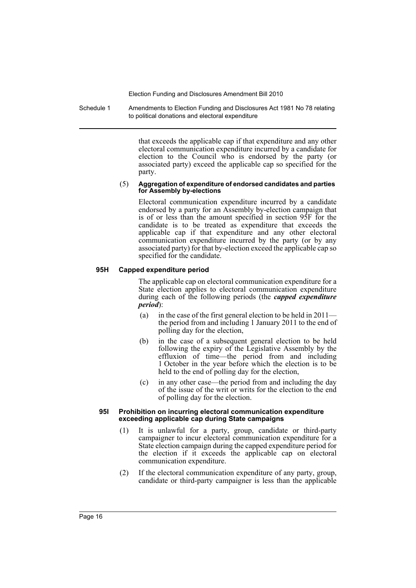Schedule 1 Amendments to Election Funding and Disclosures Act 1981 No 78 relating to political donations and electoral expenditure

> that exceeds the applicable cap if that expenditure and any other electoral communication expenditure incurred by a candidate for election to the Council who is endorsed by the party (or associated party) exceed the applicable cap so specified for the party.

#### (5) **Aggregation of expenditure of endorsed candidates and parties for Assembly by-elections**

Electoral communication expenditure incurred by a candidate endorsed by a party for an Assembly by-election campaign that is of or less than the amount specified in section 95F for the candidate is to be treated as expenditure that exceeds the applicable cap if that expenditure and any other electoral communication expenditure incurred by the party (or by any associated party) for that by-election exceed the applicable cap so specified for the candidate.

#### **95H Capped expenditure period**

The applicable cap on electoral communication expenditure for a State election applies to electoral communication expenditure during each of the following periods (the *capped expenditure period*):

- (a) in the case of the first general election to be held in 2011 the period from and including 1 January 2011 to the end of polling day for the election,
- (b) in the case of a subsequent general election to be held following the expiry of the Legislative Assembly by the effluxion of time—the period from and including 1 October in the year before which the election is to be held to the end of polling day for the election,
- (c) in any other case—the period from and including the day of the issue of the writ or writs for the election to the end of polling day for the election.

#### **95I Prohibition on incurring electoral communication expenditure exceeding applicable cap during State campaigns**

- (1) It is unlawful for a party, group, candidate or third-party campaigner to incur electoral communication expenditure for a State election campaign during the capped expenditure period for the election if it exceeds the applicable cap on electoral communication expenditure.
- (2) If the electoral communication expenditure of any party, group, candidate or third-party campaigner is less than the applicable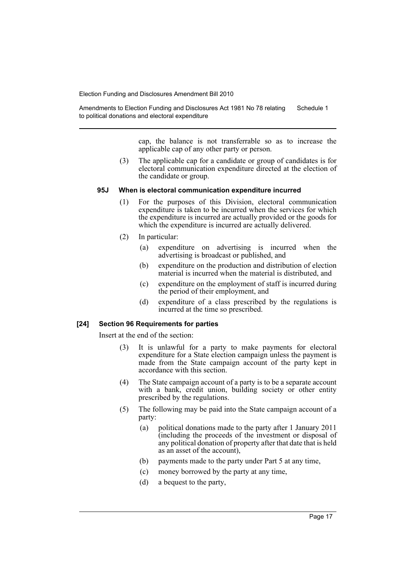Amendments to Election Funding and Disclosures Act 1981 No 78 relating to political donations and electoral expenditure Schedule 1

> cap, the balance is not transferrable so as to increase the applicable cap of any other party or person.

(3) The applicable cap for a candidate or group of candidates is for electoral communication expenditure directed at the election of the candidate or group.

#### **95J When is electoral communication expenditure incurred**

- (1) For the purposes of this Division, electoral communication expenditure is taken to be incurred when the services for which the expenditure is incurred are actually provided or the goods for which the expenditure is incurred are actually delivered.
- (2) In particular:
	- (a) expenditure on advertising is incurred when the advertising is broadcast or published, and
	- (b) expenditure on the production and distribution of election material is incurred when the material is distributed, and
	- (c) expenditure on the employment of staff is incurred during the period of their employment, and
	- (d) expenditure of a class prescribed by the regulations is incurred at the time so prescribed.

#### **[24] Section 96 Requirements for parties**

Insert at the end of the section:

- (3) It is unlawful for a party to make payments for electoral expenditure for a State election campaign unless the payment is made from the State campaign account of the party kept in accordance with this section.
- (4) The State campaign account of a party is to be a separate account with a bank, credit union, building society or other entity prescribed by the regulations.
- (5) The following may be paid into the State campaign account of a party:
	- (a) political donations made to the party after 1 January 2011 (including the proceeds of the investment or disposal of any political donation of property after that date that is held as an asset of the account),
	- (b) payments made to the party under Part 5 at any time,
	- (c) money borrowed by the party at any time,
	- (d) a bequest to the party,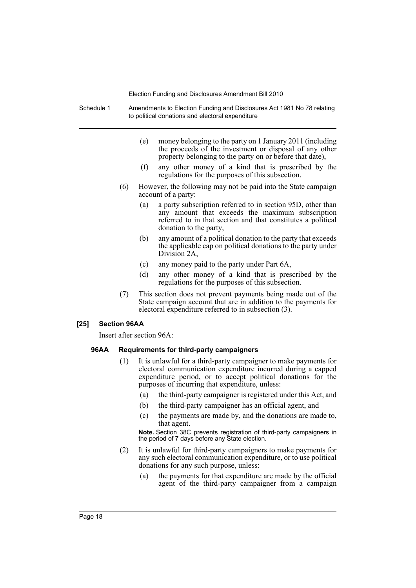Schedule 1 Amendments to Election Funding and Disclosures Act 1981 No 78 relating to political donations and electoral expenditure

- (e) money belonging to the party on 1 January 2011 (including the proceeds of the investment or disposal of any other property belonging to the party on or before that date),
- (f) any other money of a kind that is prescribed by the regulations for the purposes of this subsection.
- (6) However, the following may not be paid into the State campaign account of a party:
	- (a) a party subscription referred to in section 95D, other than any amount that exceeds the maximum subscription referred to in that section and that constitutes a political donation to the party,
	- (b) any amount of a political donation to the party that exceeds the applicable cap on political donations to the party under Division 2A,
	- (c) any money paid to the party under Part 6A,
	- (d) any other money of a kind that is prescribed by the regulations for the purposes of this subsection.
- (7) This section does not prevent payments being made out of the State campaign account that are in addition to the payments for electoral expenditure referred to in subsection (3).

#### **[25] Section 96AA**

Insert after section 96A:

#### **96AA Requirements for third-party campaigners**

- (1) It is unlawful for a third-party campaigner to make payments for electoral communication expenditure incurred during a capped expenditure period, or to accept political donations for the purposes of incurring that expenditure, unless:
	- (a) the third-party campaigner is registered under this Act, and
	- (b) the third-party campaigner has an official agent, and
	- (c) the payments are made by, and the donations are made to, that agent.

**Note.** Section 38C prevents registration of third-party campaigners in the period of 7 days before any State election.

- (2) It is unlawful for third-party campaigners to make payments for any such electoral communication expenditure, or to use political donations for any such purpose, unless:
	- (a) the payments for that expenditure are made by the official agent of the third-party campaigner from a campaign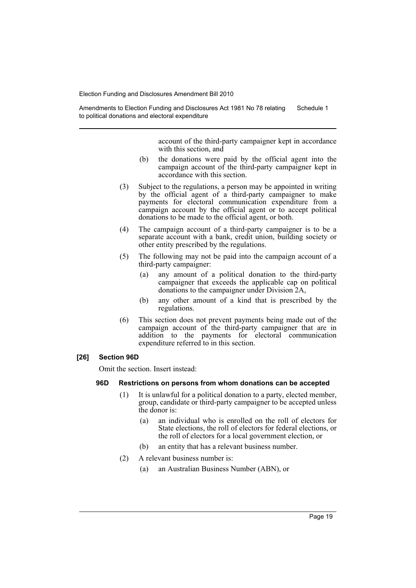Amendments to Election Funding and Disclosures Act 1981 No 78 relating to political donations and electoral expenditure Schedule 1

> account of the third-party campaigner kept in accordance with this section, and

- (b) the donations were paid by the official agent into the campaign account of the third-party campaigner kept in accordance with this section.
- (3) Subject to the regulations, a person may be appointed in writing by the official agent of a third-party campaigner to make payments for electoral communication expenditure from a campaign account by the official agent or to accept political donations to be made to the official agent, or both.
- (4) The campaign account of a third-party campaigner is to be a separate account with a bank, credit union, building society or other entity prescribed by the regulations.
- (5) The following may not be paid into the campaign account of a third-party campaigner:
	- (a) any amount of a political donation to the third-party campaigner that exceeds the applicable cap on political donations to the campaigner under Division 2A,
	- (b) any other amount of a kind that is prescribed by the regulations.
- (6) This section does not prevent payments being made out of the campaign account of the third-party campaigner that are in addition to the payments for electoral communication expenditure referred to in this section.

## **[26] Section 96D**

Omit the section. Insert instead:

#### **96D Restrictions on persons from whom donations can be accepted**

- (1) It is unlawful for a political donation to a party, elected member, group, candidate or third-party campaigner to be accepted unless the donor is:
	- (a) an individual who is enrolled on the roll of electors for State elections, the roll of electors for federal elections, or the roll of electors for a local government election, or
	- (b) an entity that has a relevant business number.
- (2) A relevant business number is:
	- (a) an Australian Business Number (ABN), or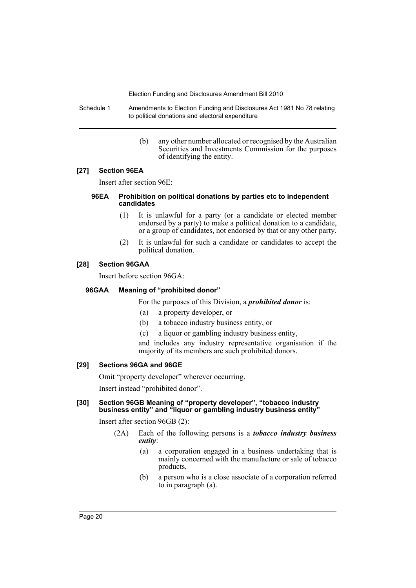Schedule 1 Amendments to Election Funding and Disclosures Act 1981 No 78 relating to political donations and electoral expenditure

> (b) any other number allocated or recognised by the Australian Securities and Investments Commission for the purposes of identifying the entity.

## **[27] Section 96EA**

Insert after section 96E:

#### **96EA Prohibition on political donations by parties etc to independent candidates**

- (1) It is unlawful for a party (or a candidate or elected member endorsed by a party) to make a political donation to a candidate, or a group of candidates, not endorsed by that or any other party.
- (2) It is unlawful for such a candidate or candidates to accept the political donation.

## **[28] Section 96GAA**

Insert before section 96GA:

## **96GAA Meaning of "prohibited donor"**

For the purposes of this Division, a *prohibited donor* is:

- (a) a property developer, or
- (b) a tobacco industry business entity, or
- (c) a liquor or gambling industry business entity,

and includes any industry representative organisation if the majority of its members are such prohibited donors.

#### **[29] Sections 96GA and 96GE**

Omit "property developer" wherever occurring.

Insert instead "prohibited donor".

#### **[30] Section 96GB Meaning of "property developer", "tobacco industry business entity" and "liquor or gambling industry business entity"**

Insert after section 96GB (2):

- (2A) Each of the following persons is a *tobacco industry business entity*:
	- (a) a corporation engaged in a business undertaking that is mainly concerned with the manufacture or sale of tobacco products,
	- (b) a person who is a close associate of a corporation referred to in paragraph (a).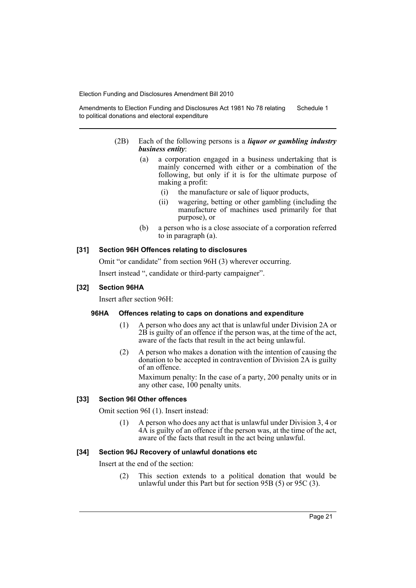Amendments to Election Funding and Disclosures Act 1981 No 78 relating to political donations and electoral expenditure Schedule 1

- (2B) Each of the following persons is a *liquor or gambling industry business entity*:
	- (a) a corporation engaged in a business undertaking that is mainly concerned with either or a combination of the following, but only if it is for the ultimate purpose of making a profit:
		- (i) the manufacture or sale of liquor products,
		- (ii) wagering, betting or other gambling (including the manufacture of machines used primarily for that purpose), or
	- (b) a person who is a close associate of a corporation referred to in paragraph (a).

#### **[31] Section 96H Offences relating to disclosures**

Omit "or candidate" from section 96H (3) wherever occurring.

Insert instead ", candidate or third-party campaigner".

## **[32] Section 96HA**

Insert after section 96H:

#### **96HA Offences relating to caps on donations and expenditure**

- (1) A person who does any act that is unlawful under Division 2A or  $2\overrightarrow{B}$  is guilty of an offence if the person was, at the time of the act, aware of the facts that result in the act being unlawful.
- (2) A person who makes a donation with the intention of causing the donation to be accepted in contravention of Division 2A is guilty of an offence.

Maximum penalty: In the case of a party, 200 penalty units or in any other case, 100 penalty units.

#### **[33] Section 96I Other offences**

Omit section 96I (1). Insert instead:

(1) A person who does any act that is unlawful under Division 3, 4 or 4A is guilty of an offence if the person was, at the time of the act, aware of the facts that result in the act being unlawful.

## **[34] Section 96J Recovery of unlawful donations etc**

Insert at the end of the section:

(2) This section extends to a political donation that would be unlawful under this Part but for section 95B (5) or 95C (3).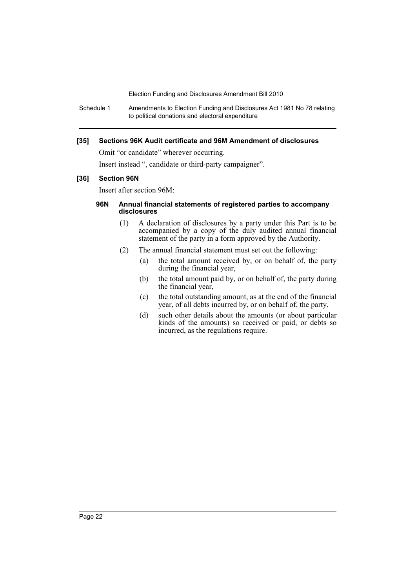Schedule 1 Amendments to Election Funding and Disclosures Act 1981 No 78 relating to political donations and electoral expenditure

## **[35] Sections 96K Audit certificate and 96M Amendment of disclosures**

Omit "or candidate" wherever occurring.

Insert instead ", candidate or third-party campaigner".

#### **[36] Section 96N**

Insert after section 96M:

#### **96N Annual financial statements of registered parties to accompany disclosures**

- (1) A declaration of disclosures by a party under this Part is to be accompanied by a copy of the duly audited annual financial statement of the party in a form approved by the Authority.
- (2) The annual financial statement must set out the following:
	- (a) the total amount received by, or on behalf of, the party during the financial year,
	- (b) the total amount paid by, or on behalf of, the party during the financial year,
	- (c) the total outstanding amount, as at the end of the financial year, of all debts incurred by, or on behalf of, the party,
	- (d) such other details about the amounts (or about particular kinds of the amounts) so received or paid, or debts so incurred, as the regulations require.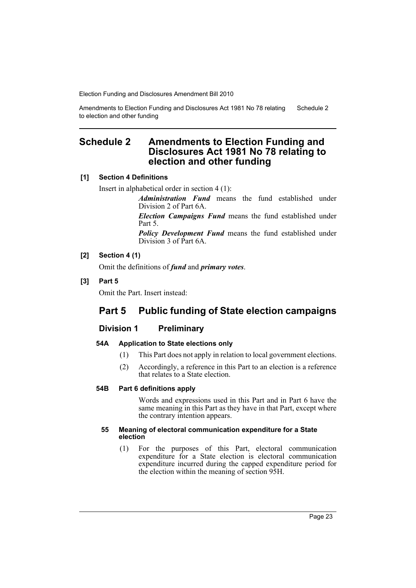Amendments to Election Funding and Disclosures Act 1981 No 78 relating to election and other funding Schedule 2

## <span id="page-24-0"></span>**Schedule 2 Amendments to Election Funding and Disclosures Act 1981 No 78 relating to election and other funding**

## **[1] Section 4 Definitions**

Insert in alphabetical order in section 4 (1):

*Administration Fund* means the fund established under Division 2 of Part 6A.

*Election Campaigns Fund* means the fund established under Part 5.

*Policy Development Fund* means the fund established under Division 3 of Part 6A.

## **[2] Section 4 (1)**

Omit the definitions of *fund* and *primary votes*.

## **[3] Part 5**

Omit the Part. Insert instead:

## **Part 5 Public funding of State election campaigns**

## **Division 1 Preliminary**

## **54A Application to State elections only**

- (1) This Part does not apply in relation to local government elections.
- (2) Accordingly, a reference in this Part to an election is a reference that relates to a State election.

## **54B Part 6 definitions apply**

Words and expressions used in this Part and in Part 6 have the same meaning in this Part as they have in that Part, except where the contrary intention appears.

#### **55 Meaning of electoral communication expenditure for a State election**

(1) For the purposes of this Part, electoral communication expenditure for a State election is electoral communication expenditure incurred during the capped expenditure period for the election within the meaning of section 95H.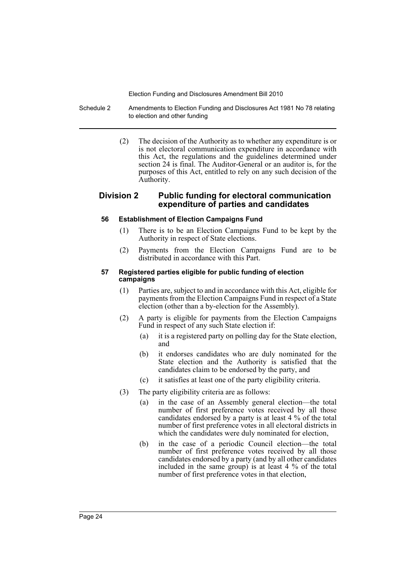Schedule 2 Amendments to Election Funding and Disclosures Act 1981 No 78 relating to election and other funding

> (2) The decision of the Authority as to whether any expenditure is or is not electoral communication expenditure in accordance with this Act, the regulations and the guidelines determined under section 24 is final. The Auditor-General or an auditor is, for the purposes of this Act, entitled to rely on any such decision of the Authority.

## **Division 2 Public funding for electoral communication expenditure of parties and candidates**

#### **56 Establishment of Election Campaigns Fund**

- (1) There is to be an Election Campaigns Fund to be kept by the Authority in respect of State elections.
- (2) Payments from the Election Campaigns Fund are to be distributed in accordance with this Part.

#### **57 Registered parties eligible for public funding of election campaigns**

- (1) Parties are, subject to and in accordance with this Act, eligible for payments from the Election Campaigns Fund in respect of a State election (other than a by-election for the Assembly).
- (2) A party is eligible for payments from the Election Campaigns Fund in respect of any such State election if:
	- (a) it is a registered party on polling day for the State election, and
	- (b) it endorses candidates who are duly nominated for the State election and the Authority is satisfied that the candidates claim to be endorsed by the party, and
	- (c) it satisfies at least one of the party eligibility criteria.
- (3) The party eligibility criteria are as follows:
	- (a) in the case of an Assembly general election—the total number of first preference votes received by all those candidates endorsed by a party is at least 4 % of the total number of first preference votes in all electoral districts in which the candidates were duly nominated for election,
	- (b) in the case of a periodic Council election—the total number of first preference votes received by all those candidates endorsed by a party (and by all other candidates included in the same group) is at least 4 % of the total number of first preference votes in that election,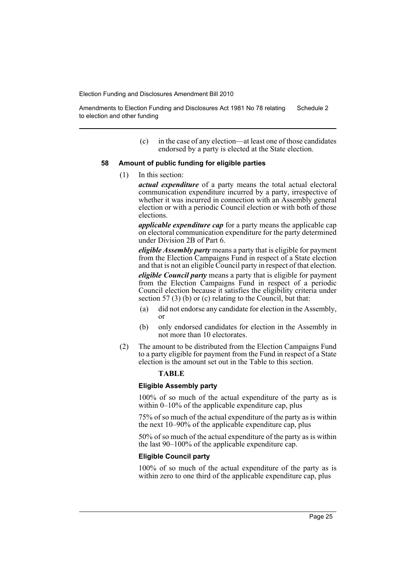Amendments to Election Funding and Disclosures Act 1981 No 78 relating to election and other funding Schedule 2

> (c) in the case of any election—at least one of those candidates endorsed by a party is elected at the State election.

#### **58 Amount of public funding for eligible parties**

(1) In this section:

*actual expenditure* of a party means the total actual electoral communication expenditure incurred by a party, irrespective of whether it was incurred in connection with an Assembly general election or with a periodic Council election or with both of those elections.

*applicable expenditure cap* for a party means the applicable cap on electoral communication expenditure for the party determined under Division 2B of Part 6.

*eligible Assembly party* means a party that is eligible for payment from the Election Campaigns Fund in respect of a State election and that is not an eligible Council party in respect of that election.

*eligible Council party* means a party that is eligible for payment from the Election Campaigns Fund in respect of a periodic Council election because it satisfies the eligibility criteria under section 57 (3) (b) or (c) relating to the Council, but that:

- (a) did not endorse any candidate for election in the Assembly, or
- (b) only endorsed candidates for election in the Assembly in not more than 10 electorates.
- (2) The amount to be distributed from the Election Campaigns Fund to a party eligible for payment from the Fund in respect of a State election is the amount set out in the Table to this section.

#### **TABLE**

#### **Eligible Assembly party**

100% of so much of the actual expenditure of the party as is within 0–10% of the applicable expenditure cap, plus

75% of so much of the actual expenditure of the party as is within the next 10–90% of the applicable expenditure cap, plus

50% of so much of the actual expenditure of the party as is within the last 90–100% of the applicable expenditure cap.

#### **Eligible Council party**

100% of so much of the actual expenditure of the party as is within zero to one third of the applicable expenditure cap, plus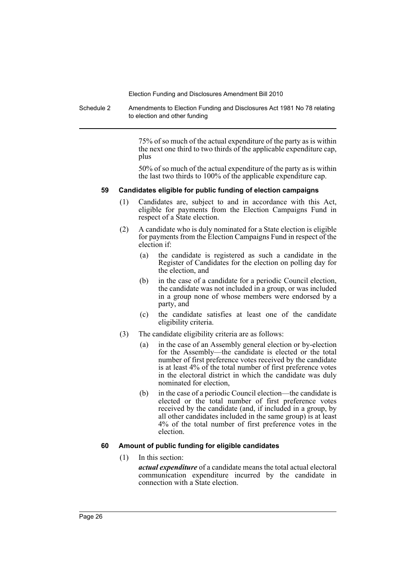Schedule 2 Amendments to Election Funding and Disclosures Act 1981 No 78 relating to election and other funding

> 75% of so much of the actual expenditure of the party as is within the next one third to two thirds of the applicable expenditure cap, plus

> 50% of so much of the actual expenditure of the party as is within the last two thirds to 100% of the applicable expenditure cap.

#### **59 Candidates eligible for public funding of election campaigns**

- (1) Candidates are, subject to and in accordance with this Act, eligible for payments from the Election Campaigns Fund in respect of a State election.
- (2) A candidate who is duly nominated for a State election is eligible for payments from the Election Campaigns Fund in respect of the election if:
	- (a) the candidate is registered as such a candidate in the Register of Candidates for the election on polling day for the election, and
	- (b) in the case of a candidate for a periodic Council election, the candidate was not included in a group, or was included in a group none of whose members were endorsed by a party, and
	- (c) the candidate satisfies at least one of the candidate eligibility criteria.
- (3) The candidate eligibility criteria are as follows:
	- (a) in the case of an Assembly general election or by-election for the Assembly—the candidate is elected or the total number of first preference votes received by the candidate is at least 4% of the total number of first preference votes in the electoral district in which the candidate was duly nominated for election,
	- (b) in the case of a periodic Council election—the candidate is elected or the total number of first preference votes received by the candidate (and, if included in a group, by all other candidates included in the same group) is at least 4% of the total number of first preference votes in the election.

## **60 Amount of public funding for eligible candidates**

(1) In this section:

*actual expenditure* of a candidate means the total actual electoral communication expenditure incurred by the candidate in connection with a State election.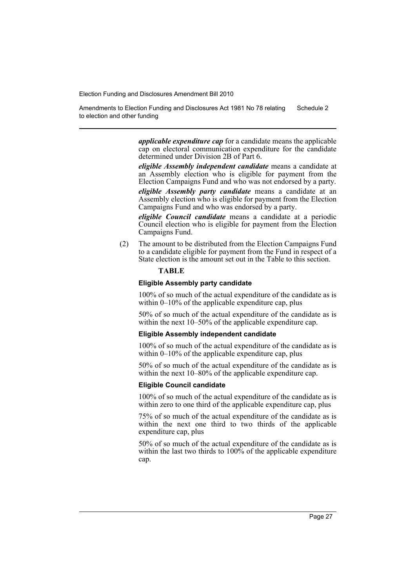Amendments to Election Funding and Disclosures Act 1981 No 78 relating to election and other funding Schedule 2

> *applicable expenditure cap* for a candidate means the applicable cap on electoral communication expenditure for the candidate determined under Division 2B of Part 6.

> *eligible Assembly independent candidate* means a candidate at an Assembly election who is eligible for payment from the Election Campaigns Fund and who was not endorsed by a party.

> *eligible Assembly party candidate* means a candidate at an Assembly election who is eligible for payment from the Election Campaigns Fund and who was endorsed by a party.

> *eligible Council candidate* means a candidate at a periodic Council election who is eligible for payment from the Election Campaigns Fund.

(2) The amount to be distributed from the Election Campaigns Fund to a candidate eligible for payment from the Fund in respect of a State election is the amount set out in the Table to this section.

## **TABLE**

#### **Eligible Assembly party candidate**

100% of so much of the actual expenditure of the candidate as is within  $0-10\%$  of the applicable expenditure cap, plus

50% of so much of the actual expenditure of the candidate as is within the next 10–50% of the applicable expenditure cap.

#### **Eligible Assembly independent candidate**

100% of so much of the actual expenditure of the candidate as is within 0–10% of the applicable expenditure cap, plus

50% of so much of the actual expenditure of the candidate as is within the next 10–80% of the applicable expenditure cap.

#### **Eligible Council candidate**

100% of so much of the actual expenditure of the candidate as is within zero to one third of the applicable expenditure cap, plus

75% of so much of the actual expenditure of the candidate as is within the next one third to two thirds of the applicable expenditure cap, plus

50% of so much of the actual expenditure of the candidate as is within the last two thirds to 100% of the applicable expenditure cap.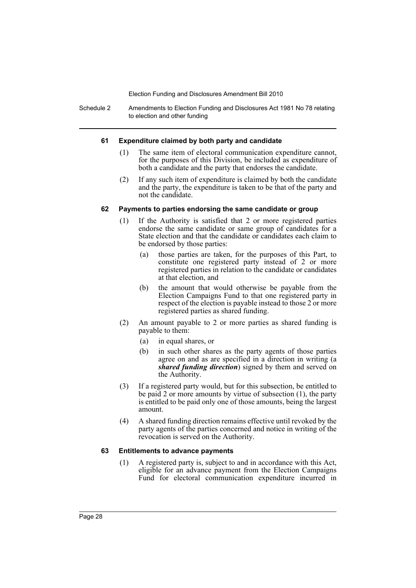Schedule 2 Amendments to Election Funding and Disclosures Act 1981 No 78 relating to election and other funding

#### **61 Expenditure claimed by both party and candidate**

- (1) The same item of electoral communication expenditure cannot, for the purposes of this Division, be included as expenditure of both a candidate and the party that endorses the candidate.
- (2) If any such item of expenditure is claimed by both the candidate and the party, the expenditure is taken to be that of the party and not the candidate.

## **62 Payments to parties endorsing the same candidate or group**

- (1) If the Authority is satisfied that 2 or more registered parties endorse the same candidate or same group of candidates for a State election and that the candidate or candidates each claim to be endorsed by those parties:
	- (a) those parties are taken, for the purposes of this Part, to constitute one registered party instead of 2 or more registered parties in relation to the candidate or candidates at that election, and
	- (b) the amount that would otherwise be payable from the Election Campaigns Fund to that one registered party in respect of the election is payable instead to those 2 or more registered parties as shared funding.
- (2) An amount payable to 2 or more parties as shared funding is payable to them:
	- (a) in equal shares, or
	- (b) in such other shares as the party agents of those parties agree on and as are specified in a direction in writing (a *shared funding direction*) signed by them and served on the Authority.
- (3) If a registered party would, but for this subsection, be entitled to be paid 2 or more amounts by virtue of subsection (1), the party is entitled to be paid only one of those amounts, being the largest amount.
- (4) A shared funding direction remains effective until revoked by the party agents of the parties concerned and notice in writing of the revocation is served on the Authority.

## **63 Entitlements to advance payments**

(1) A registered party is, subject to and in accordance with this Act, eligible for an advance payment from the Election Campaigns Fund for electoral communication expenditure incurred in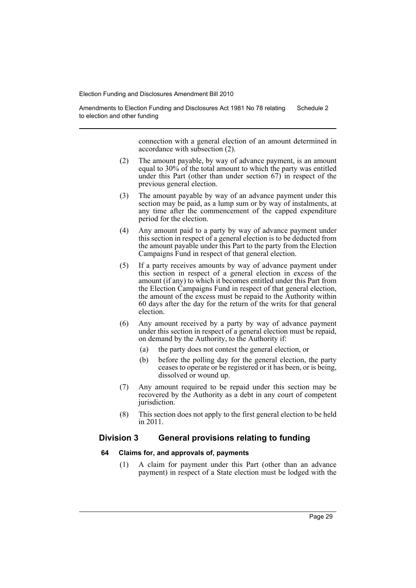Amendments to Election Funding and Disclosures Act 1981 No 78 relating to election and other funding Schedule 2

> connection with a general election of an amount determined in accordance with subsection (2).

- (2) The amount payable, by way of advance payment, is an amount equal to 30% of the total amount to which the party was entitled under this Part (other than under section  $67$ ) in respect of the previous general election.
- (3) The amount payable by way of an advance payment under this section may be paid, as a lump sum or by way of instalments, at any time after the commencement of the capped expenditure period for the election.
- (4) Any amount paid to a party by way of advance payment under this section in respect of a general election is to be deducted from the amount payable under this Part to the party from the Election Campaigns Fund in respect of that general election.
- (5) If a party receives amounts by way of advance payment under this section in respect of a general election in excess of the amount (if any) to which it becomes entitled under this Part from the Election Campaigns Fund in respect of that general election, the amount of the excess must be repaid to the Authority within 60 days after the day for the return of the writs for that general election.
- (6) Any amount received by a party by way of advance payment under this section in respect of a general election must be repaid, on demand by the Authority, to the Authority if:
	- (a) the party does not contest the general election, or
	- (b) before the polling day for the general election, the party ceases to operate or be registered or it has been, or is being, dissolved or wound up.
- (7) Any amount required to be repaid under this section may be recovered by the Authority as a debt in any court of competent jurisdiction.
- (8) This section does not apply to the first general election to be held in 2011.

## **Division 3 General provisions relating to funding**

## **64 Claims for, and approvals of, payments**

(1) A claim for payment under this Part (other than an advance payment) in respect of a State election must be lodged with the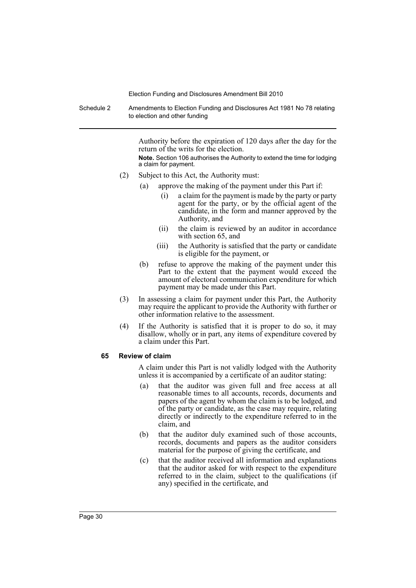Schedule 2 Amendments to Election Funding and Disclosures Act 1981 No 78 relating to election and other funding

> Authority before the expiration of 120 days after the day for the return of the writs for the election.

> **Note.** Section 106 authorises the Authority to extend the time for lodging a claim for payment.

- (2) Subject to this Act, the Authority must:
	- (a) approve the making of the payment under this Part if:
		- (i) a claim for the payment is made by the party or party agent for the party, or by the official agent of the candidate, in the form and manner approved by the Authority, and
		- (ii) the claim is reviewed by an auditor in accordance with section 65, and
		- (iii) the Authority is satisfied that the party or candidate is eligible for the payment, or
	- (b) refuse to approve the making of the payment under this Part to the extent that the payment would exceed the amount of electoral communication expenditure for which payment may be made under this Part.
- (3) In assessing a claim for payment under this Part, the Authority may require the applicant to provide the Authority with further or other information relative to the assessment.
- (4) If the Authority is satisfied that it is proper to do so, it may disallow, wholly or in part, any items of expenditure covered by a claim under this Part.

## **65 Review of claim**

A claim under this Part is not validly lodged with the Authority unless it is accompanied by a certificate of an auditor stating:

- (a) that the auditor was given full and free access at all reasonable times to all accounts, records, documents and papers of the agent by whom the claim is to be lodged, and of the party or candidate, as the case may require, relating directly or indirectly to the expenditure referred to in the claim, and
- (b) that the auditor duly examined such of those accounts, records, documents and papers as the auditor considers material for the purpose of giving the certificate, and
- (c) that the auditor received all information and explanations that the auditor asked for with respect to the expenditure referred to in the claim, subject to the qualifications (if any) specified in the certificate, and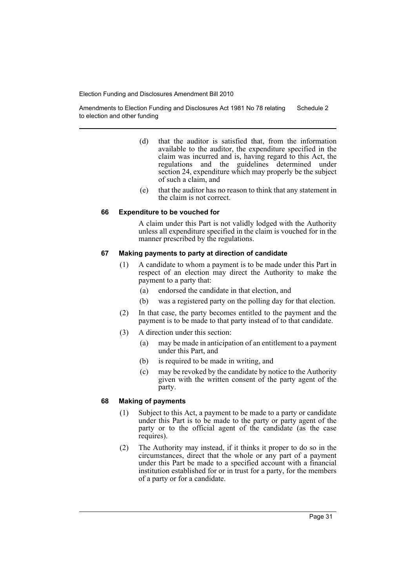Amendments to Election Funding and Disclosures Act 1981 No 78 relating to election and other funding Schedule 2

- (d) that the auditor is satisfied that, from the information available to the auditor, the expenditure specified in the claim was incurred and is, having regard to this Act, the regulations and the guidelines determined under section 24, expenditure which may properly be the subject of such a claim, and
- (e) that the auditor has no reason to think that any statement in the claim is not correct.

#### **66 Expenditure to be vouched for**

A claim under this Part is not validly lodged with the Authority unless all expenditure specified in the claim is vouched for in the manner prescribed by the regulations.

#### **67 Making payments to party at direction of candidate**

- (1) A candidate to whom a payment is to be made under this Part in respect of an election may direct the Authority to make the payment to a party that:
	- (a) endorsed the candidate in that election, and
	- (b) was a registered party on the polling day for that election.
- (2) In that case, the party becomes entitled to the payment and the payment is to be made to that party instead of to that candidate.
- (3) A direction under this section:
	- (a) may be made in anticipation of an entitlement to a payment under this Part, and
	- (b) is required to be made in writing, and
	- (c) may be revoked by the candidate by notice to the Authority given with the written consent of the party agent of the party.

#### **68 Making of payments**

- (1) Subject to this Act, a payment to be made to a party or candidate under this Part is to be made to the party or party agent of the party or to the official agent of the candidate (as the case requires).
- (2) The Authority may instead, if it thinks it proper to do so in the circumstances, direct that the whole or any part of a payment under this Part be made to a specified account with a financial institution established for or in trust for a party, for the members of a party or for a candidate.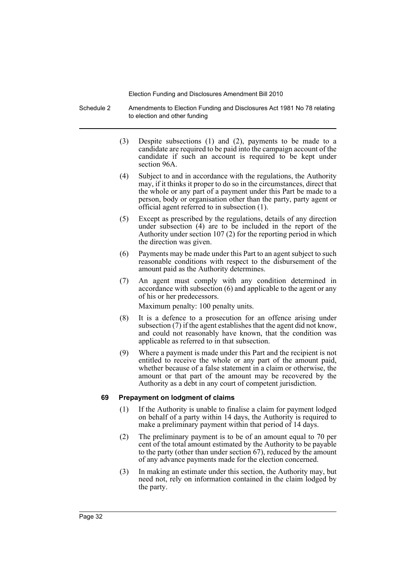Schedule 2 Amendments to Election Funding and Disclosures Act 1981 No 78 relating to election and other funding

- (3) Despite subsections (1) and (2), payments to be made to a candidate are required to be paid into the campaign account of the candidate if such an account is required to be kept under section 96A.
- (4) Subject to and in accordance with the regulations, the Authority may, if it thinks it proper to do so in the circumstances, direct that the whole or any part of a payment under this Part be made to a person, body or organisation other than the party, party agent or official agent referred to in subsection (1).
- (5) Except as prescribed by the regulations, details of any direction under subsection (4) are to be included in the report of the Authority under section 107 (2) for the reporting period in which the direction was given.
- (6) Payments may be made under this Part to an agent subject to such reasonable conditions with respect to the disbursement of the amount paid as the Authority determines.
- (7) An agent must comply with any condition determined in accordance with subsection (6) and applicable to the agent or any of his or her predecessors.

Maximum penalty: 100 penalty units.

- (8) It is a defence to a prosecution for an offence arising under subsection (7) if the agent establishes that the agent did not know, and could not reasonably have known, that the condition was applicable as referred to in that subsection.
- (9) Where a payment is made under this Part and the recipient is not entitled to receive the whole or any part of the amount paid, whether because of a false statement in a claim or otherwise, the amount or that part of the amount may be recovered by the Authority as a debt in any court of competent jurisdiction.

## **69 Prepayment on lodgment of claims**

- (1) If the Authority is unable to finalise a claim for payment lodged on behalf of a party within 14 days, the Authority is required to make a preliminary payment within that period of 14 days.
- (2) The preliminary payment is to be of an amount equal to 70 per cent of the total amount estimated by the Authority to be payable to the party (other than under section 67), reduced by the amount of any advance payments made for the election concerned.
- (3) In making an estimate under this section, the Authority may, but need not, rely on information contained in the claim lodged by the party.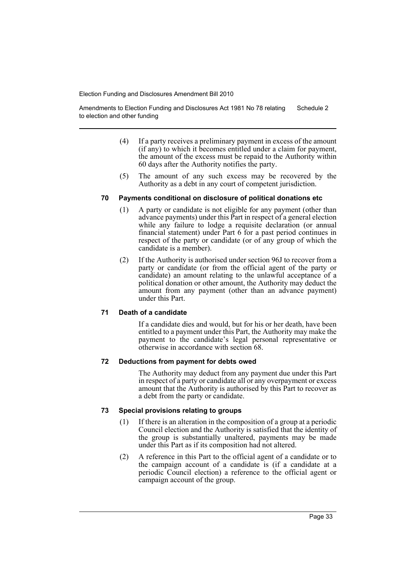Amendments to Election Funding and Disclosures Act 1981 No 78 relating to election and other funding Schedule 2

- (4) If a party receives a preliminary payment in excess of the amount (if any) to which it becomes entitled under a claim for payment, the amount of the excess must be repaid to the Authority within 60 days after the Authority notifies the party.
- (5) The amount of any such excess may be recovered by the Authority as a debt in any court of competent jurisdiction.

## **70 Payments conditional on disclosure of political donations etc**

- (1) A party or candidate is not eligible for any payment (other than advance payments) under this Part in respect of a general election while any failure to lodge a requisite declaration (or annual financial statement) under Part 6 for a past period continues in respect of the party or candidate (or of any group of which the candidate is a member).
- (2) If the Authority is authorised under section 96J to recover from a party or candidate (or from the official agent of the party or candidate) an amount relating to the unlawful acceptance of a political donation or other amount, the Authority may deduct the amount from any payment (other than an advance payment) under this Part.

## **71 Death of a candidate**

If a candidate dies and would, but for his or her death, have been entitled to a payment under this Part, the Authority may make the payment to the candidate's legal personal representative or otherwise in accordance with section 68.

## **72 Deductions from payment for debts owed**

The Authority may deduct from any payment due under this Part in respect of a party or candidate all or any overpayment or excess amount that the Authority is authorised by this Part to recover as a debt from the party or candidate.

## **73 Special provisions relating to groups**

- (1) If there is an alteration in the composition of a group at a periodic Council election and the Authority is satisfied that the identity of the group is substantially unaltered, payments may be made under this Part as if its composition had not altered.
- (2) A reference in this Part to the official agent of a candidate or to the campaign account of a candidate is (if a candidate at a periodic Council election) a reference to the official agent or campaign account of the group.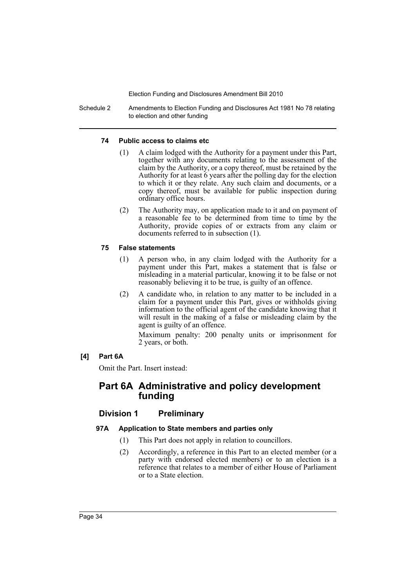Schedule 2 Amendments to Election Funding and Disclosures Act 1981 No 78 relating to election and other funding

## **74 Public access to claims etc**

- (1) A claim lodged with the Authority for a payment under this Part, together with any documents relating to the assessment of the claim by the Authority, or a copy thereof, must be retained by the Authority for at least 6 years after the polling day for the election to which it or they relate. Any such claim and documents, or a copy thereof, must be available for public inspection during ordinary office hours.
- (2) The Authority may, on application made to it and on payment of a reasonable fee to be determined from time to time by the Authority, provide copies of or extracts from any claim or documents referred to in subsection (1).

## **75 False statements**

- (1) A person who, in any claim lodged with the Authority for a payment under this Part, makes a statement that is false or misleading in a material particular, knowing it to be false or not reasonably believing it to be true, is guilty of an offence.
- (2) A candidate who, in relation to any matter to be included in a claim for a payment under this Part, gives or withholds giving information to the official agent of the candidate knowing that it will result in the making of a false or misleading claim by the agent is guilty of an offence.

Maximum penalty: 200 penalty units or imprisonment for 2 years, or both.

## **[4] Part 6A**

Omit the Part. Insert instead:

## **Part 6A Administrative and policy development funding**

## **Division 1 Preliminary**

## **97A Application to State members and parties only**

- (1) This Part does not apply in relation to councillors.
- (2) Accordingly, a reference in this Part to an elected member (or a party with endorsed elected members) or to an election is a reference that relates to a member of either House of Parliament or to a State election.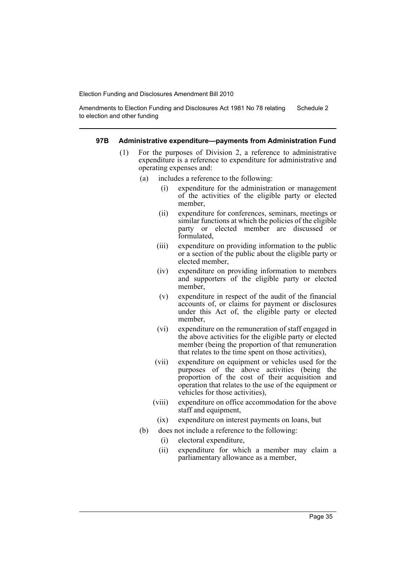Amendments to Election Funding and Disclosures Act 1981 No 78 relating to election and other funding Schedule 2

#### **97B Administrative expenditure—payments from Administration Fund**

- (1) For the purposes of Division 2, a reference to administrative expenditure is a reference to expenditure for administrative and operating expenses and:
	- (a) includes a reference to the following:
		- (i) expenditure for the administration or management of the activities of the eligible party or elected member,
		- (ii) expenditure for conferences, seminars, meetings or similar functions at which the policies of the eligible party or elected member are discussed or formulated,
		- (iii) expenditure on providing information to the public or a section of the public about the eligible party or elected member,
		- (iv) expenditure on providing information to members and supporters of the eligible party or elected member,
		- (v) expenditure in respect of the audit of the financial accounts of, or claims for payment or disclosures under this Act of, the eligible party or elected member,
		- (vi) expenditure on the remuneration of staff engaged in the above activities for the eligible party or elected member (being the proportion of that remuneration that relates to the time spent on those activities),
		- (vii) expenditure on equipment or vehicles used for the purposes of the above activities (being the proportion of the cost of their acquisition and operation that relates to the use of the equipment or vehicles for those activities),
		- (viii) expenditure on office accommodation for the above staff and equipment,
			- (ix) expenditure on interest payments on loans, but
	- (b) does not include a reference to the following:
		- (i) electoral expenditure,
		- (ii) expenditure for which a member may claim a parliamentary allowance as a member,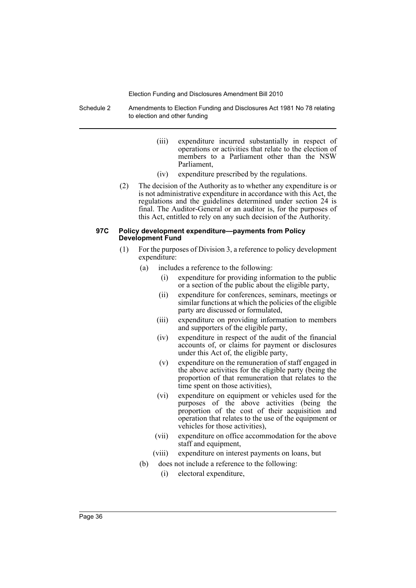Schedule 2 Amendments to Election Funding and Disclosures Act 1981 No 78 relating to election and other funding

- (iii) expenditure incurred substantially in respect of operations or activities that relate to the election of members to a Parliament other than the NSW Parliament,
- (iv) expenditure prescribed by the regulations.
- (2) The decision of the Authority as to whether any expenditure is or is not administrative expenditure in accordance with this Act, the regulations and the guidelines determined under section 24 is final. The Auditor-General or an auditor is, for the purposes of this Act, entitled to rely on any such decision of the Authority.

#### **97C Policy development expenditure—payments from Policy Development Fund**

- (1) For the purposes of Division 3, a reference to policy development expenditure:
	- (a) includes a reference to the following:
		- (i) expenditure for providing information to the public or a section of the public about the eligible party,
		- (ii) expenditure for conferences, seminars, meetings or similar functions at which the policies of the eligible party are discussed or formulated,
		- (iii) expenditure on providing information to members and supporters of the eligible party,
		- (iv) expenditure in respect of the audit of the financial accounts of, or claims for payment or disclosures under this Act of, the eligible party,
		- (v) expenditure on the remuneration of staff engaged in the above activities for the eligible party (being the proportion of that remuneration that relates to the time spent on those activities),
		- (vi) expenditure on equipment or vehicles used for the purposes of the above activities (being the proportion of the cost of their acquisition and operation that relates to the use of the equipment or vehicles for those activities),
		- (vii) expenditure on office accommodation for the above staff and equipment,
		- (viii) expenditure on interest payments on loans, but
	- (b) does not include a reference to the following:
		- (i) electoral expenditure,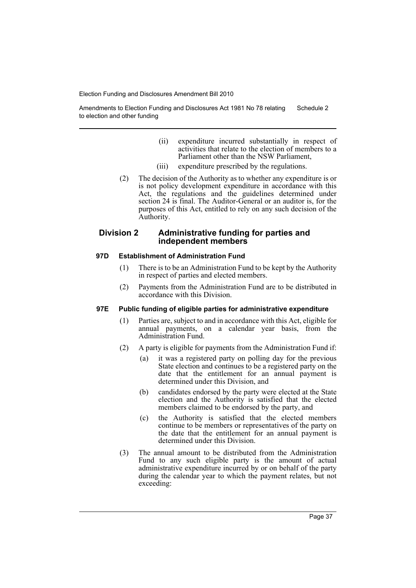Amendments to Election Funding and Disclosures Act 1981 No 78 relating to election and other funding Schedule 2

- (ii) expenditure incurred substantially in respect of activities that relate to the election of members to a Parliament other than the NSW Parliament,
- (iii) expenditure prescribed by the regulations.
- (2) The decision of the Authority as to whether any expenditure is or is not policy development expenditure in accordance with this Act, the regulations and the guidelines determined under section 24 is final. The Auditor-General or an auditor is, for the purposes of this Act, entitled to rely on any such decision of the Authority.

## **Division 2 Administrative funding for parties and independent members**

## **97D Establishment of Administration Fund**

- (1) There is to be an Administration Fund to be kept by the Authority in respect of parties and elected members.
- (2) Payments from the Administration Fund are to be distributed in accordance with this Division.

## **97E Public funding of eligible parties for administrative expenditure**

- (1) Parties are, subject to and in accordance with this Act, eligible for annual payments, on a calendar year basis, from the Administration Fund.
- (2) A party is eligible for payments from the Administration Fund if:
	- (a) it was a registered party on polling day for the previous State election and continues to be a registered party on the date that the entitlement for an annual payment is determined under this Division, and
	- (b) candidates endorsed by the party were elected at the State election and the Authority is satisfied that the elected members claimed to be endorsed by the party, and
	- (c) the Authority is satisfied that the elected members continue to be members or representatives of the party on the date that the entitlement for an annual payment is determined under this Division.
- (3) The annual amount to be distributed from the Administration Fund to any such eligible party is the amount of actual administrative expenditure incurred by or on behalf of the party during the calendar year to which the payment relates, but not exceeding: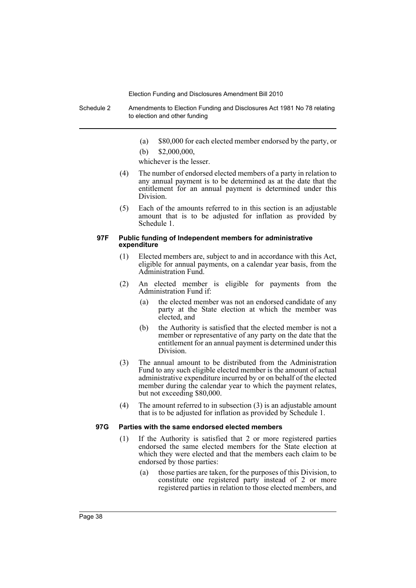Schedule 2 Amendments to Election Funding and Disclosures Act 1981 No 78 relating to election and other funding

(a) \$80,000 for each elected member endorsed by the party, or

(b)  $$2,000,000$ 

whichever is the lesser.

- (4) The number of endorsed elected members of a party in relation to any annual payment is to be determined as at the date that the entitlement for an annual payment is determined under this Division.
- (5) Each of the amounts referred to in this section is an adjustable amount that is to be adjusted for inflation as provided by Schedule 1.

#### **97F Public funding of Independent members for administrative expenditure**

- (1) Elected members are, subject to and in accordance with this Act, eligible for annual payments, on a calendar year basis, from the Administration Fund.
- (2) An elected member is eligible for payments from the Administration Fund if:
	- (a) the elected member was not an endorsed candidate of any party at the State election at which the member was elected, and
	- (b) the Authority is satisfied that the elected member is not a member or representative of any party on the date that the entitlement for an annual payment is determined under this Division.
- (3) The annual amount to be distributed from the Administration Fund to any such eligible elected member is the amount of actual administrative expenditure incurred by or on behalf of the elected member during the calendar year to which the payment relates, but not exceeding \$80,000.
- (4) The amount referred to in subsection (3) is an adjustable amount that is to be adjusted for inflation as provided by Schedule 1.

#### **97G Parties with the same endorsed elected members**

- (1) If the Authority is satisfied that 2 or more registered parties endorsed the same elected members for the State election at which they were elected and that the members each claim to be endorsed by those parties:
	- (a) those parties are taken, for the purposes of this Division, to constitute one registered party instead of 2 or more registered parties in relation to those elected members, and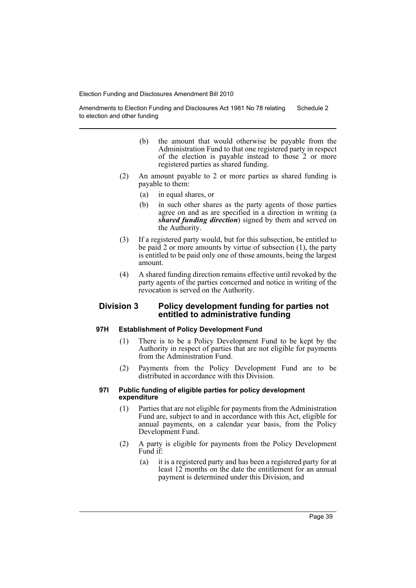Amendments to Election Funding and Disclosures Act 1981 No 78 relating to election and other funding Schedule 2

- (b) the amount that would otherwise be payable from the Administration Fund to that one registered party in respect of the election is payable instead to those 2 or more registered parties as shared funding.
- (2) An amount payable to 2 or more parties as shared funding is payable to them:
	- (a) in equal shares, or
	- (b) in such other shares as the party agents of those parties agree on and as are specified in a direction in writing (a *shared funding direction*) signed by them and served on the Authority.
- (3) If a registered party would, but for this subsection, be entitled to be paid 2 or more amounts by virtue of subsection (1), the party is entitled to be paid only one of those amounts, being the largest amount.
- (4) A shared funding direction remains effective until revoked by the party agents of the parties concerned and notice in writing of the revocation is served on the Authority.

## **Division 3 Policy development funding for parties not entitled to administrative funding**

#### **97H Establishment of Policy Development Fund**

- (1) There is to be a Policy Development Fund to be kept by the Authority in respect of parties that are not eligible for payments from the Administration Fund.
- (2) Payments from the Policy Development Fund are to be distributed in accordance with this Division.

#### **97I Public funding of eligible parties for policy development expenditure**

- (1) Parties that are not eligible for payments from the Administration Fund are, subject to and in accordance with this Act, eligible for annual payments, on a calendar year basis, from the Policy Development Fund.
- (2) A party is eligible for payments from the Policy Development Fund if:
	- (a) it is a registered party and has been a registered party for at least 12 months on the date the entitlement for an annual payment is determined under this Division, and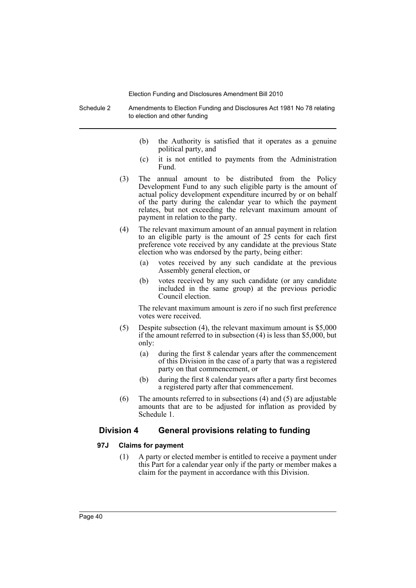Schedule 2 Amendments to Election Funding and Disclosures Act 1981 No 78 relating to election and other funding

- (b) the Authority is satisfied that it operates as a genuine political party, and
- (c) it is not entitled to payments from the Administration Fund.
- (3) The annual amount to be distributed from the Policy Development Fund to any such eligible party is the amount of actual policy development expenditure incurred by or on behalf of the party during the calendar year to which the payment relates, but not exceeding the relevant maximum amount of payment in relation to the party.
- (4) The relevant maximum amount of an annual payment in relation to an eligible party is the amount of 25 cents for each first preference vote received by any candidate at the previous State election who was endorsed by the party, being either:
	- (a) votes received by any such candidate at the previous Assembly general election, or
	- (b) votes received by any such candidate (or any candidate included in the same group) at the previous periodic Council election.

The relevant maximum amount is zero if no such first preference votes were received.

- (5) Despite subsection (4), the relevant maximum amount is \$5,000 if the amount referred to in subsection (4) is less than \$5,000, but only:
	- (a) during the first 8 calendar years after the commencement of this Division in the case of a party that was a registered party on that commencement, or
	- (b) during the first 8 calendar years after a party first becomes a registered party after that commencement.
- (6) The amounts referred to in subsections (4) and (5) are adjustable amounts that are to be adjusted for inflation as provided by Schedule 1.

## **Division 4 General provisions relating to funding**

## **97J Claims for payment**

(1) A party or elected member is entitled to receive a payment under this Part for a calendar year only if the party or member makes a claim for the payment in accordance with this Division.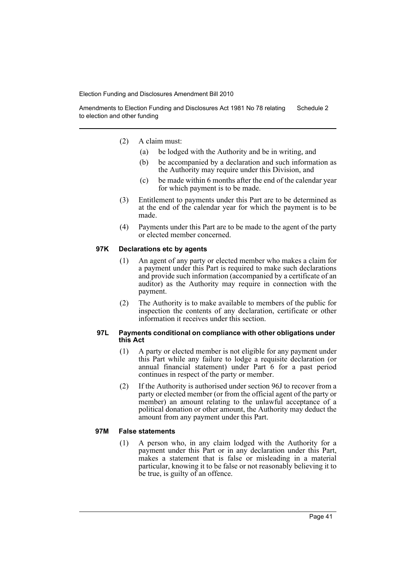Amendments to Election Funding and Disclosures Act 1981 No 78 relating to election and other funding Schedule 2

- (2) A claim must:
	- (a) be lodged with the Authority and be in writing, and
	- (b) be accompanied by a declaration and such information as the Authority may require under this Division, and
	- (c) be made within 6 months after the end of the calendar year for which payment is to be made.
- (3) Entitlement to payments under this Part are to be determined as at the end of the calendar year for which the payment is to be made.
- (4) Payments under this Part are to be made to the agent of the party or elected member concerned.

#### **97K Declarations etc by agents**

- (1) An agent of any party or elected member who makes a claim for a payment under this Part is required to make such declarations and provide such information (accompanied by a certificate of an auditor) as the Authority may require in connection with the payment.
- (2) The Authority is to make available to members of the public for inspection the contents of any declaration, certificate or other information it receives under this section.

#### **97L Payments conditional on compliance with other obligations under this Act**

- (1) A party or elected member is not eligible for any payment under this Part while any failure to lodge a requisite declaration (or annual financial statement) under Part 6 for a past period continues in respect of the party or member.
- (2) If the Authority is authorised under section 96J to recover from a party or elected member (or from the official agent of the party or member) an amount relating to the unlawful acceptance of a political donation or other amount, the Authority may deduct the amount from any payment under this Part.

#### **97M False statements**

(1) A person who, in any claim lodged with the Authority for a payment under this Part or in any declaration under this Part, makes a statement that is false or misleading in a material particular, knowing it to be false or not reasonably believing it to be true, is guilty of an offence.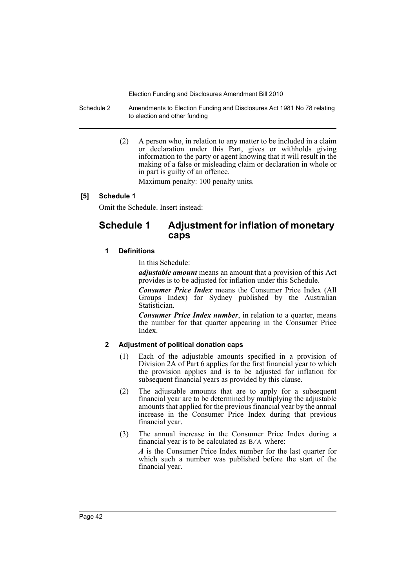Schedule 2 Amendments to Election Funding and Disclosures Act 1981 No 78 relating to election and other funding

> (2) A person who, in relation to any matter to be included in a claim or declaration under this Part, gives or withholds giving information to the party or agent knowing that it will result in the making of a false or misleading claim or declaration in whole or in part is guilty of an offence.

Maximum penalty: 100 penalty units.

## **[5] Schedule 1**

Omit the Schedule. Insert instead:

## **Schedule 1 Adjustment for inflation of monetary caps**

## **1 Definitions**

In this Schedule:

*adjustable amount* means an amount that a provision of this Act provides is to be adjusted for inflation under this Schedule.

*Consumer Price Index* means the Consumer Price Index (All Groups Index) for Sydney published by the Australian Statistician.

*Consumer Price Index number*, in relation to a quarter, means the number for that quarter appearing in the Consumer Price Index.

## **2 Adjustment of political donation caps**

- (1) Each of the adjustable amounts specified in a provision of Division 2A of Part 6 applies for the first financial year to which the provision applies and is to be adjusted for inflation for subsequent financial years as provided by this clause.
- (2) The adjustable amounts that are to apply for a subsequent financial year are to be determined by multiplying the adjustable amounts that applied for the previous financial year by the annual increase in the Consumer Price Index during that previous financial year.
- (3) The annual increase in the Consumer Price Index during a financial year is to be calculated as  $B/A$  where:

*A* is the Consumer Price Index number for the last quarter for which such a number was published before the start of the financial year.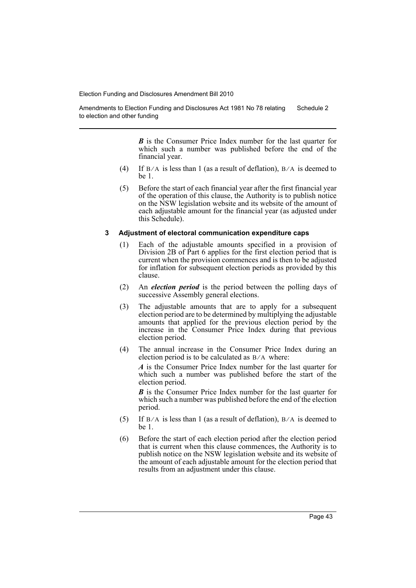Amendments to Election Funding and Disclosures Act 1981 No 78 relating to election and other funding Schedule 2

> *B* is the Consumer Price Index number for the last quarter for which such a number was published before the end of the financial year.

- (4) If  $B/A$  is less than 1 (as a result of deflation),  $B/A$  is deemed to be 1.
- (5) Before the start of each financial year after the first financial year of the operation of this clause, the Authority is to publish notice on the NSW legislation website and its website of the amount of each adjustable amount for the financial year (as adjusted under this Schedule).

#### **3 Adjustment of electoral communication expenditure caps**

- (1) Each of the adjustable amounts specified in a provision of Division 2B of Part 6 applies for the first election period that is current when the provision commences and is then to be adjusted for inflation for subsequent election periods as provided by this clause.
- (2) An *election period* is the period between the polling days of successive Assembly general elections.
- (3) The adjustable amounts that are to apply for a subsequent election period are to be determined by multiplying the adjustable amounts that applied for the previous election period by the increase in the Consumer Price Index during that previous election period.
- (4) The annual increase in the Consumer Price Index during an election period is to be calculated as  $B/A$  where:

*A* is the Consumer Price Index number for the last quarter for which such a number was published before the start of the election period.

*B* is the Consumer Price Index number for the last quarter for which such a number was published before the end of the election period.

- (5) If  $B/A$  is less than 1 (as a result of deflation),  $B/A$  is deemed to be 1.
- (6) Before the start of each election period after the election period that is current when this clause commences, the Authority is to publish notice on the NSW legislation website and its website of the amount of each adjustable amount for the election period that results from an adjustment under this clause.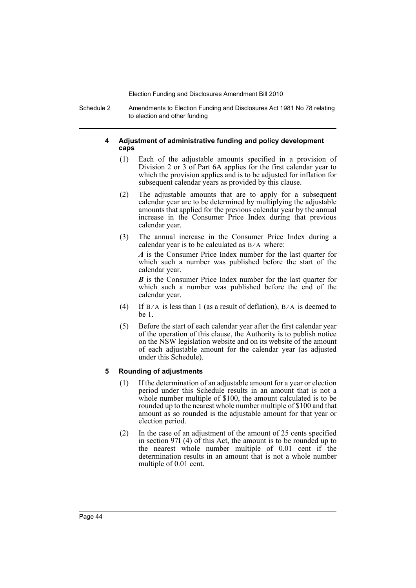Schedule 2 Amendments to Election Funding and Disclosures Act 1981 No 78 relating to election and other funding

## **4 Adjustment of administrative funding and policy development caps**

- (1) Each of the adjustable amounts specified in a provision of Division 2 or 3 of Part 6A applies for the first calendar year to which the provision applies and is to be adjusted for inflation for subsequent calendar years as provided by this clause.
- (2) The adjustable amounts that are to apply for a subsequent calendar year are to be determined by multiplying the adjustable amounts that applied for the previous calendar year by the annual increase in the Consumer Price Index during that previous calendar year.
- (3) The annual increase in the Consumer Price Index during a calendar year is to be calculated as  $B/A$  where:

*A* is the Consumer Price Index number for the last quarter for which such a number was published before the start of the calendar year.

*B* is the Consumer Price Index number for the last quarter for which such a number was published before the end of the calendar year.

- (4) If  $B/A$  is less than 1 (as a result of deflation),  $B/A$  is deemed to be 1.
- (5) Before the start of each calendar year after the first calendar year of the operation of this clause, the Authority is to publish notice on the NSW legislation website and on its website of the amount of each adjustable amount for the calendar year (as adjusted under this Schedule).

## **5 Rounding of adjustments**

- (1) If the determination of an adjustable amount for a year or election period under this Schedule results in an amount that is not a whole number multiple of \$100, the amount calculated is to be rounded up to the nearest whole number multiple of \$100 and that amount as so rounded is the adjustable amount for that year or election period.
- (2) In the case of an adjustment of the amount of 25 cents specified in section 97I (4) of this Act, the amount is to be rounded up to the nearest whole number multiple of 0.01 cent if the determination results in an amount that is not a whole number multiple of 0.01 cent.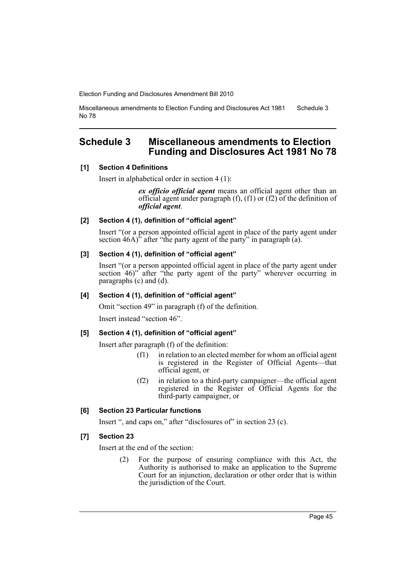Miscellaneous amendments to Election Funding and Disclosures Act 1981 No 78 Schedule 3

## <span id="page-46-0"></span>**Schedule 3 Miscellaneous amendments to Election Funding and Disclosures Act 1981 No 78**

#### **[1] Section 4 Definitions**

Insert in alphabetical order in section 4 (1):

*ex officio official agent* means an official agent other than an official agent under paragraph (f), (f1) or (f2) of the definition of *official agent*.

#### **[2] Section 4 (1), definition of "official agent"**

Insert "(or a person appointed official agent in place of the party agent under section  $46A$ <sup>3</sup> after "the party agent of the party" in paragraph (a).

## **[3] Section 4 (1), definition of "official agent"**

Insert "(or a person appointed official agent in place of the party agent under section 46)<sup>"</sup> after "the party agent of the party" wherever occurring in paragraphs (c) and (d).

## **[4] Section 4 (1), definition of "official agent"**

Omit "section 49" in paragraph (f) of the definition.

Insert instead "section 46".

## **[5] Section 4 (1), definition of "official agent"**

Insert after paragraph (f) of the definition:

- (f1) in relation to an elected member for whom an official agent is registered in the Register of Official Agents—that official agent, or
- (f2) in relation to a third-party campaigner—the official agent registered in the Register of Official Agents for the third-party campaigner, or

## **[6] Section 23 Particular functions**

Insert ", and caps on," after "disclosures of" in section 23 (c).

## **[7] Section 23**

Insert at the end of the section:

(2) For the purpose of ensuring compliance with this Act, the Authority is authorised to make an application to the Supreme Court for an injunction, declaration or other order that is within the jurisdiction of the Court.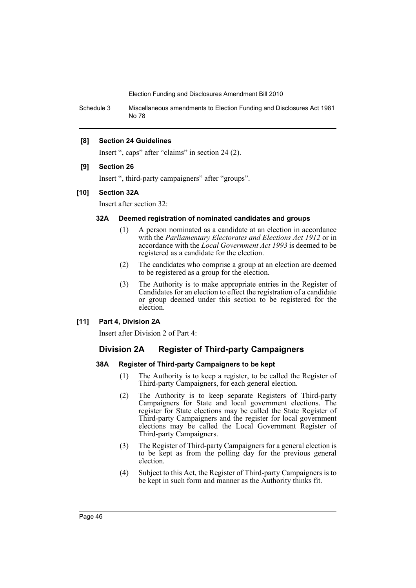Schedule 3 Miscellaneous amendments to Election Funding and Disclosures Act 1981 No 78

## **[8] Section 24 Guidelines**

Insert ", caps" after "claims" in section 24 (2).

#### **[9] Section 26**

Insert ", third-party campaigners" after "groups".

#### **[10] Section 32A**

Insert after section 32:

## **32A Deemed registration of nominated candidates and groups**

- (1) A person nominated as a candidate at an election in accordance with the *Parliamentary Electorates and Elections Act 1912* or in accordance with the *Local Government Act 1993* is deemed to be registered as a candidate for the election.
- (2) The candidates who comprise a group at an election are deemed to be registered as a group for the election.
- (3) The Authority is to make appropriate entries in the Register of Candidates for an election to effect the registration of a candidate or group deemed under this section to be registered for the election.

#### **[11] Part 4, Division 2A**

Insert after Division 2 of Part 4:

## **Division 2A Register of Third-party Campaigners**

## **38A Register of Third-party Campaigners to be kept**

- (1) The Authority is to keep a register, to be called the Register of Third-party Campaigners, for each general election.
- (2) The Authority is to keep separate Registers of Third-party Campaigners for State and local government elections. The register for State elections may be called the State Register of Third-party Campaigners and the register for local government elections may be called the Local Government Register of Third-party Campaigners.
- (3) The Register of Third-party Campaigners for a general election is to be kept as from the polling day for the previous general election.
- (4) Subject to this Act, the Register of Third-party Campaigners is to be kept in such form and manner as the Authority thinks fit.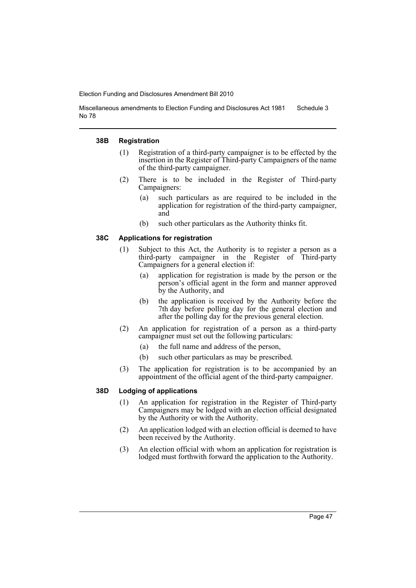Miscellaneous amendments to Election Funding and Disclosures Act 1981 No 78 Schedule 3

#### **38B Registration**

- (1) Registration of a third-party campaigner is to be effected by the insertion in the Register of Third-party Campaigners of the name of the third-party campaigner.
- (2) There is to be included in the Register of Third-party Campaigners:
	- (a) such particulars as are required to be included in the application for registration of the third-party campaigner, and
	- (b) such other particulars as the Authority thinks fit.

#### **38C Applications for registration**

- (1) Subject to this Act, the Authority is to register a person as a third-party campaigner in the Register of Third-party Campaigners for a general election if:
	- (a) application for registration is made by the person or the person's official agent in the form and manner approved by the Authority, and
	- (b) the application is received by the Authority before the 7th day before polling day for the general election and after the polling day for the previous general election.
- (2) An application for registration of a person as a third-party campaigner must set out the following particulars:
	- (a) the full name and address of the person,
	- (b) such other particulars as may be prescribed.
- (3) The application for registration is to be accompanied by an appointment of the official agent of the third-party campaigner.

#### **38D Lodging of applications**

- (1) An application for registration in the Register of Third-party Campaigners may be lodged with an election official designated by the Authority or with the Authority.
- (2) An application lodged with an election official is deemed to have been received by the Authority.
- (3) An election official with whom an application for registration is lodged must forthwith forward the application to the Authority.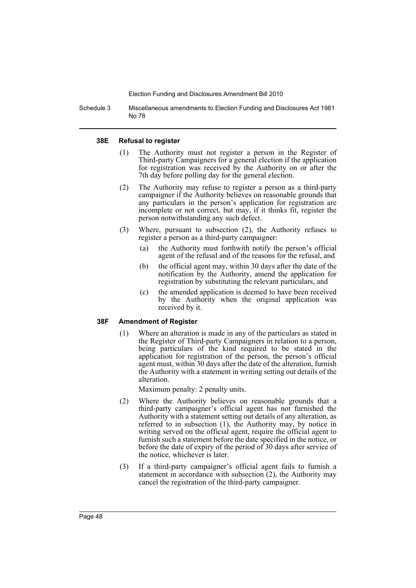Schedule 3 Miscellaneous amendments to Election Funding and Disclosures Act 1981 No 78

#### **38E Refusal to register**

- (1) The Authority must not register a person in the Register of Third-party Campaigners for a general election if the application for registration was received by the Authority on or after the 7th day before polling day for the general election.
- (2) The Authority may refuse to register a person as a third-party campaigner if the Authority believes on reasonable grounds that any particulars in the person's application for registration are incomplete or not correct, but may, if it thinks fit, register the person notwithstanding any such defect.
- (3) Where, pursuant to subsection (2), the Authority refuses to register a person as a third-party campaigner:
	- (a) the Authority must forthwith notify the person's official agent of the refusal and of the reasons for the refusal, and
	- (b) the official agent may, within 30 days after the date of the notification by the Authority, amend the application for registration by substituting the relevant particulars, and
	- (c) the amended application is deemed to have been received by the Authority when the original application was received by it.

#### **38F Amendment of Register**

(1) Where an alteration is made in any of the particulars as stated in the Register of Third-party Campaigners in relation to a person, being particulars of the kind required to be stated in the application for registration of the person, the person's official agent must, within 30 days after the date of the alteration, furnish the Authority with a statement in writing setting out details of the alteration.

Maximum penalty: 2 penalty units.

- (2) Where the Authority believes on reasonable grounds that a third-party campaigner's official agent has not furnished the Authority with a statement setting out details of any alteration, as referred to in subsection (1), the Authority may, by notice in writing served on the official agent, require the official agent to furnish such a statement before the date specified in the notice, or before the date of expiry of the period of 30 days after service of the notice, whichever is later.
- (3) If a third-party campaigner's official agent fails to furnish a statement in accordance with subsection  $(2)$ , the Authority may cancel the registration of the third-party campaigner.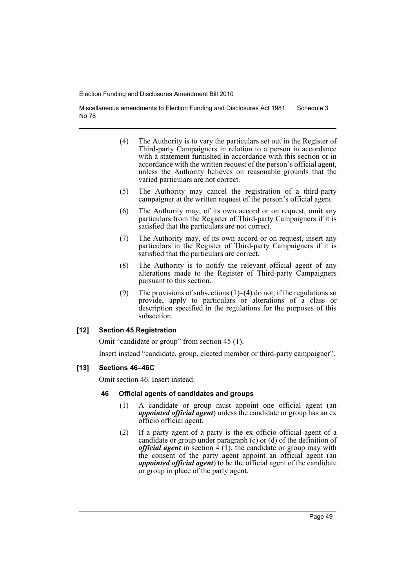Miscellaneous amendments to Election Funding and Disclosures Act 1981 No 78 Schedule 3

- (4) The Authority is to vary the particulars set out in the Register of Third-party Campaigners in relation to a person in accordance with a statement furnished in accordance with this section or in accordance with the written request of the person's official agent, unless the Authority believes on reasonable grounds that the varied particulars are not correct.
- (5) The Authority may cancel the registration of a third-party campaigner at the written request of the person's official agent.
- (6) The Authority may, of its own accord or on request, omit any particulars from the Register of Third-party Campaigners if it is satisfied that the particulars are not correct.
- (7) The Authority may, of its own accord or on request, insert any particulars in the Register of Third-party Campaigners if it is satisfied that the particulars are correct.
- (8) The Authority is to notify the relevant official agent of any alterations made to the Register of Third-party Campaigners pursuant to this section.
- (9) The provisions of subsections  $(1)$ – $(4)$  do not, if the regulations so provide, apply to particulars or alterations of a class or description specified in the regulations for the purposes of this subsection.

## **[12] Section 45 Registration**

Omit "candidate or group" from section 45 (1).

Insert instead "candidate, group, elected member or third-party campaigner".

## **[13] Sections 46–46C**

Omit section 46. Insert instead:

#### **46 Official agents of candidates and groups**

- (1) A candidate or group must appoint one official agent (an *appointed official agent*) unless the candidate or group has an ex officio official agent.
- (2) If a party agent of a party is the ex officio official agent of a candidate or group under paragraph (c) or (d) of the definition of *official agent* in section  $\hat{4}$  (1), the candidate or group may with the consent of the party agent appoint an official agent (an *appointed official agent*) to be the official agent of the candidate or group in place of the party agent.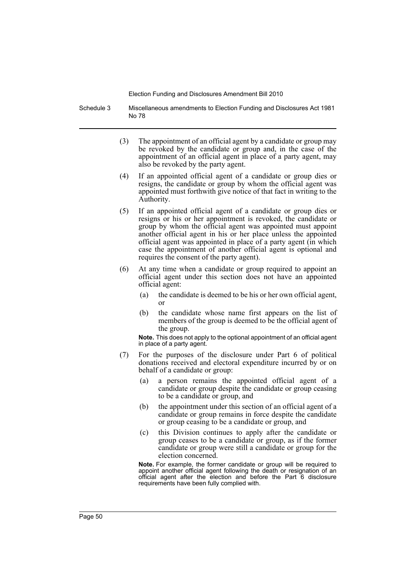Schedule 3 Miscellaneous amendments to Election Funding and Disclosures Act 1981 No 78

- (3) The appointment of an official agent by a candidate or group may be revoked by the candidate or group and, in the case of the appointment of an official agent in place of a party agent, may also be revoked by the party agent.
- (4) If an appointed official agent of a candidate or group dies or resigns, the candidate or group by whom the official agent was appointed must forthwith give notice of that fact in writing to the Authority.
- (5) If an appointed official agent of a candidate or group dies or resigns or his or her appointment is revoked, the candidate or group by whom the official agent was appointed must appoint another official agent in his or her place unless the appointed official agent was appointed in place of a party agent (in which case the appointment of another official agent is optional and requires the consent of the party agent).
- (6) At any time when a candidate or group required to appoint an official agent under this section does not have an appointed official agent:
	- (a) the candidate is deemed to be his or her own official agent, or
	- (b) the candidate whose name first appears on the list of members of the group is deemed to be the official agent of the group.

**Note.** This does not apply to the optional appointment of an official agent in place of a party agent.

- (7) For the purposes of the disclosure under Part 6 of political donations received and electoral expenditure incurred by or on behalf of a candidate or group:
	- (a) a person remains the appointed official agent of a candidate or group despite the candidate or group ceasing to be a candidate or group, and
	- (b) the appointment under this section of an official agent of a candidate or group remains in force despite the candidate or group ceasing to be a candidate or group, and
	- (c) this Division continues to apply after the candidate or group ceases to be a candidate or group, as if the former candidate or group were still a candidate or group for the election concerned.

**Note.** For example, the former candidate or group will be required to appoint another official agent following the death or resignation of an official agent after the election and before the Part 6 disclosure requirements have been fully complied with.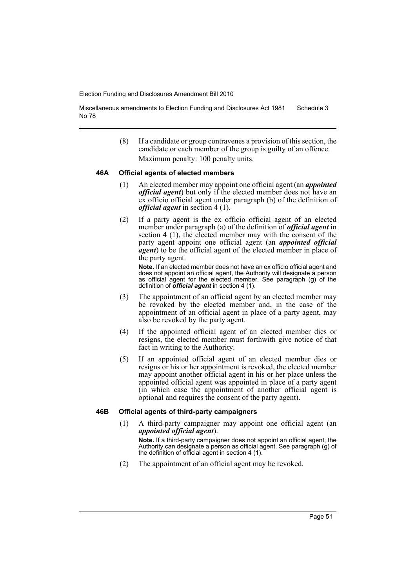Miscellaneous amendments to Election Funding and Disclosures Act 1981 No 78 Schedule 3

> (8) If a candidate or group contravenes a provision of this section, the candidate or each member of the group is guilty of an offence. Maximum penalty: 100 penalty units.

#### **46A Official agents of elected members**

- (1) An elected member may appoint one official agent (an *appointed official agent*) but only if the elected member does not have an ex officio official agent under paragraph (b) of the definition of *official agent* in section 4 (1).
- (2) If a party agent is the ex officio official agent of an elected member under paragraph (a) of the definition of *official agent* in section 4 (1), the elected member may with the consent of the party agent appoint one official agent (an *appointed official agent*) to be the official agent of the elected member in place of the party agent.

**Note.** If an elected member does not have an ex officio official agent and does not appoint an official agent, the Authority will designate a person as official agent for the elected member. See paragraph (g) of the definition of *official agent* in section 4 (1).

- (3) The appointment of an official agent by an elected member may be revoked by the elected member and, in the case of the appointment of an official agent in place of a party agent, may also be revoked by the party agent.
- (4) If the appointed official agent of an elected member dies or resigns, the elected member must forthwith give notice of that fact in writing to the Authority.
- (5) If an appointed official agent of an elected member dies or resigns or his or her appointment is revoked, the elected member may appoint another official agent in his or her place unless the appointed official agent was appointed in place of a party agent (in which case the appointment of another official agent is optional and requires the consent of the party agent).

#### **46B Official agents of third-party campaigners**

(1) A third-party campaigner may appoint one official agent (an *appointed official agent*).

**Note.** If a third-party campaigner does not appoint an official agent, the Authority can designate a person as official agent. See paragraph (g) of the definition of official agent in section 4 (1).

(2) The appointment of an official agent may be revoked.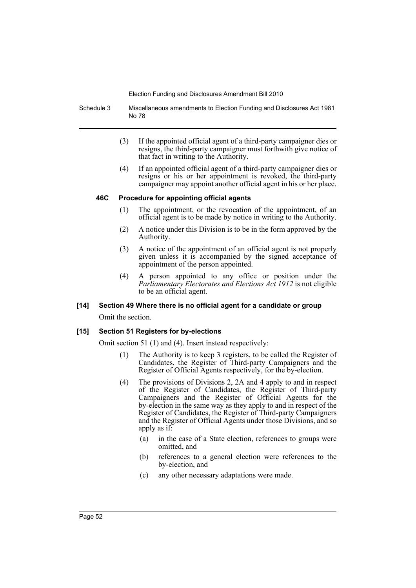Schedule 3 Miscellaneous amendments to Election Funding and Disclosures Act 1981 No 78

- (3) If the appointed official agent of a third-party campaigner dies or resigns, the third-party campaigner must forthwith give notice of that fact in writing to the Authority.
- (4) If an appointed official agent of a third-party campaigner dies or resigns or his or her appointment is revoked, the third-party campaigner may appoint another official agent in his or her place.

## **46C Procedure for appointing official agents**

- (1) The appointment, or the revocation of the appointment, of an official agent is to be made by notice in writing to the Authority.
- (2) A notice under this Division is to be in the form approved by the Authority.
- (3) A notice of the appointment of an official agent is not properly given unless it is accompanied by the signed acceptance of appointment of the person appointed.
- (4) A person appointed to any office or position under the *Parliamentary Electorates and Elections Act 1912* is not eligible to be an official agent.

## **[14] Section 49 Where there is no official agent for a candidate or group**

Omit the section.

## **[15] Section 51 Registers for by-elections**

Omit section 51 (1) and (4). Insert instead respectively:

- (1) The Authority is to keep 3 registers, to be called the Register of Candidates, the Register of Third-party Campaigners and the Register of Official Agents respectively, for the by-election.
- (4) The provisions of Divisions 2, 2A and 4 apply to and in respect of the Register of Candidates, the Register of Third-party Campaigners and the Register of Official Agents for the by-election in the same way as they apply to and in respect of the Register of Candidates, the Register of Third-party Campaigners and the Register of Official Agents under those Divisions, and so apply as if:
	- (a) in the case of a State election, references to groups were omitted, and
	- (b) references to a general election were references to the by-election, and
	- (c) any other necessary adaptations were made.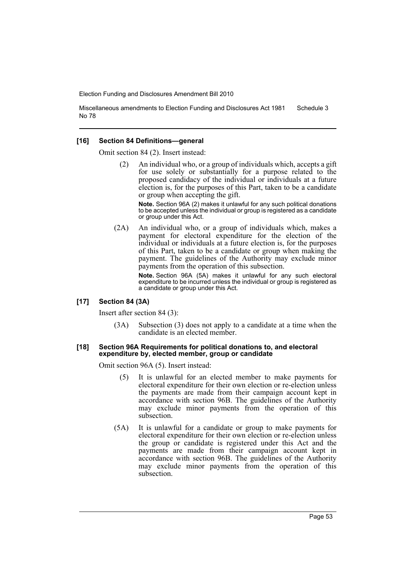Miscellaneous amendments to Election Funding and Disclosures Act 1981 No 78 Schedule 3

#### **[16] Section 84 Definitions—general**

Omit section 84 (2). Insert instead:

An individual who, or a group of individuals which, accepts a gift for use solely or substantially for a purpose related to the proposed candidacy of the individual or individuals at a future election is, for the purposes of this Part, taken to be a candidate or group when accepting the gift.

**Note.** Section 96A (2) makes it unlawful for any such political donations to be accepted unless the individual or group is registered as a candidate or group under this Act.

(2A) An individual who, or a group of individuals which, makes a payment for electoral expenditure for the election of the individual or individuals at a future election is, for the purposes of this Part, taken to be a candidate or group when making the payment. The guidelines of the Authority may exclude minor payments from the operation of this subsection.

> **Note.** Section 96A (5A) makes it unlawful for any such electoral expenditure to be incurred unless the individual or group is registered as a candidate or group under this Act.

#### **[17] Section 84 (3A)**

Insert after section 84 (3):

(3A) Subsection (3) does not apply to a candidate at a time when the candidate is an elected member.

#### **[18] Section 96A Requirements for political donations to, and electoral expenditure by, elected member, group or candidate**

Omit section 96A (5). Insert instead:

- (5) It is unlawful for an elected member to make payments for electoral expenditure for their own election or re-election unless the payments are made from their campaign account kept in accordance with section 96B. The guidelines of the Authority may exclude minor payments from the operation of this subsection.
- (5A) It is unlawful for a candidate or group to make payments for electoral expenditure for their own election or re-election unless the group or candidate is registered under this Act and the payments are made from their campaign account kept in accordance with section 96B. The guidelines of the Authority may exclude minor payments from the operation of this subsection.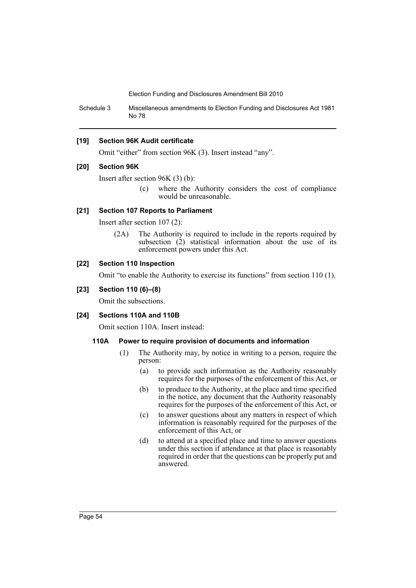Schedule 3 Miscellaneous amendments to Election Funding and Disclosures Act 1981 No 78

#### **[19] Section 96K Audit certificate**

Omit "either" from section 96K (3). Insert instead "any".

#### **[20] Section 96K**

Insert after section 96K (3) (b):

(c) where the Authority considers the cost of compliance would be unreasonable.

## **[21] Section 107 Reports to Parliament**

Insert after section 107 (2):

(2A) The Authority is required to include in the reports required by subsection  $(2)$  statistical information about the use of its enforcement powers under this Act.

#### **[22] Section 110 Inspection**

Omit "to enable the Authority to exercise its functions" from section 110 (1).

#### **[23] Section 110 (6)–(8)**

Omit the subsections.

#### **[24] Sections 110A and 110B**

Omit section 110A. Insert instead:

#### **110A Power to require provision of documents and information**

- (1) The Authority may, by notice in writing to a person, require the person:
	- (a) to provide such information as the Authority reasonably requires for the purposes of the enforcement of this Act, or
	- (b) to produce to the Authority, at the place and time specified in the notice, any document that the Authority reasonably requires for the purposes of the enforcement of this Act, or
	- (c) to answer questions about any matters in respect of which information is reasonably required for the purposes of the enforcement of this Act, or
	- (d) to attend at a specified place and time to answer questions under this section if attendance at that place is reasonably required in order that the questions can be properly put and answered.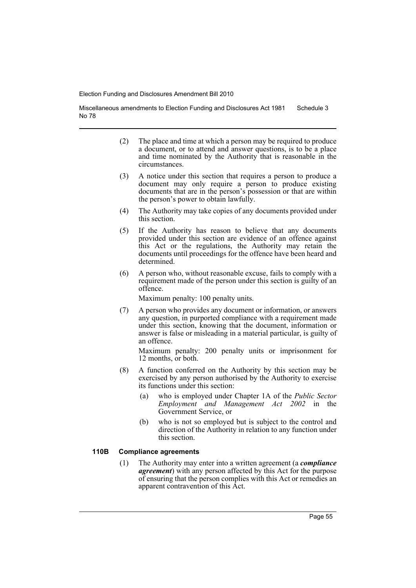Miscellaneous amendments to Election Funding and Disclosures Act 1981 No 78 Schedule 3

- (2) The place and time at which a person may be required to produce a document, or to attend and answer questions, is to be a place and time nominated by the Authority that is reasonable in the circumstances.
- (3) A notice under this section that requires a person to produce a document may only require a person to produce existing documents that are in the person's possession or that are within the person's power to obtain lawfully.
- (4) The Authority may take copies of any documents provided under this section.
- (5) If the Authority has reason to believe that any documents provided under this section are evidence of an offence against this Act or the regulations, the Authority may retain the documents until proceedings for the offence have been heard and determined.
- (6) A person who, without reasonable excuse, fails to comply with a requirement made of the person under this section is guilty of an offence.

Maximum penalty: 100 penalty units.

(7) A person who provides any document or information, or answers any question, in purported compliance with a requirement made under this section, knowing that the document, information or answer is false or misleading in a material particular, is guilty of an offence.

Maximum penalty: 200 penalty units or imprisonment for 12 months, or both.

- (8) A function conferred on the Authority by this section may be exercised by any person authorised by the Authority to exercise its functions under this section:
	- (a) who is employed under Chapter 1A of the *Public Sector Employment and Management Act 2002* in the Government Service, or
	- (b) who is not so employed but is subject to the control and direction of the Authority in relation to any function under this section.

## **110B Compliance agreements**

(1) The Authority may enter into a written agreement (a *compliance agreement*) with any person affected by this Act for the purpose of ensuring that the person complies with this Act or remedies an apparent contravention of this Act.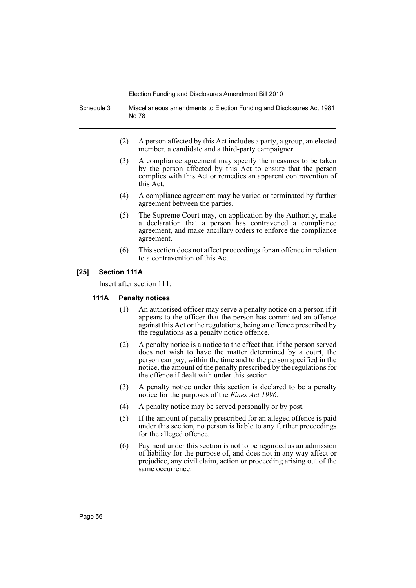Schedule 3 Miscellaneous amendments to Election Funding and Disclosures Act 1981 No 78

- (2) A person affected by this Act includes a party, a group, an elected member, a candidate and a third-party campaigner.
- (3) A compliance agreement may specify the measures to be taken by the person affected by this Act to ensure that the person complies with this Act or remedies an apparent contravention of this Act.
- (4) A compliance agreement may be varied or terminated by further agreement between the parties.
- (5) The Supreme Court may, on application by the Authority, make a declaration that a person has contravened a compliance agreement, and make ancillary orders to enforce the compliance agreement.
- (6) This section does not affect proceedings for an offence in relation to a contravention of this Act.

## **[25] Section 111A**

Insert after section 111:

## **111A Penalty notices**

- (1) An authorised officer may serve a penalty notice on a person if it appears to the officer that the person has committed an offence against this Act or the regulations, being an offence prescribed by the regulations as a penalty notice offence.
- (2) A penalty notice is a notice to the effect that, if the person served does not wish to have the matter determined by a court, the person can pay, within the time and to the person specified in the notice, the amount of the penalty prescribed by the regulations for the offence if dealt with under this section.
- (3) A penalty notice under this section is declared to be a penalty notice for the purposes of the *Fines Act 1996*.
- (4) A penalty notice may be served personally or by post.
- (5) If the amount of penalty prescribed for an alleged offence is paid under this section, no person is liable to any further proceedings for the alleged offence.
- (6) Payment under this section is not to be regarded as an admission of liability for the purpose of, and does not in any way affect or prejudice, any civil claim, action or proceeding arising out of the same occurrence.